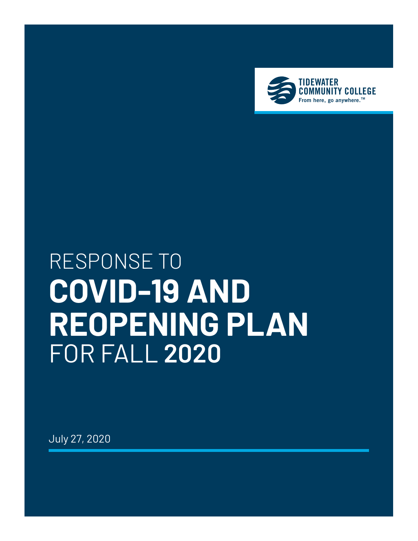

# RESPONSE TO **COVID-19 AND REOPENING PLAN** FOR FALL **2020**

July 27, 2020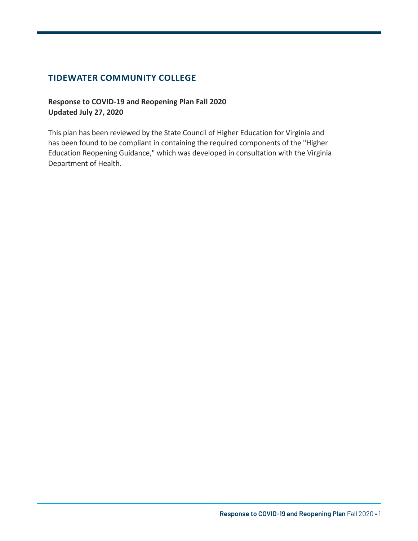#### **TIDEWATER COMMUNITY COLLEGE**

#### **Response to COVID-19 and Reopening Plan Fall 2020 Updated July 27, 2020**

This plan has been reviewed by the State Council of Higher Education for Virginia and has been found to be compliant in containing the required components of the "Higher Education Reopening Guidance," which was developed in consultation with the Virginia Department of Health.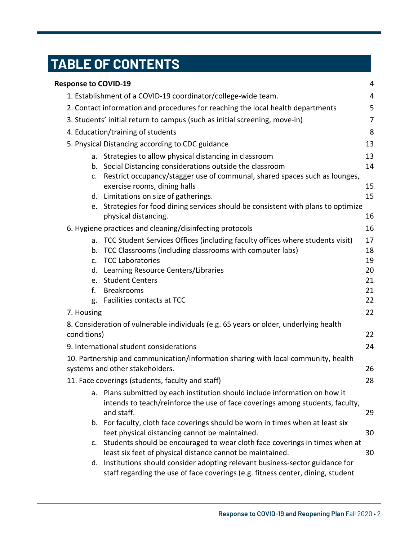## Table of Contents  **TABLE OF CONTENTS**

| <b>Response to COVID-19</b>            |                                                                                                                                                                   | 4        |  |  |
|----------------------------------------|-------------------------------------------------------------------------------------------------------------------------------------------------------------------|----------|--|--|
|                                        | 1. Establishment of a COVID-19 coordinator/college-wide team.                                                                                                     | 4        |  |  |
|                                        | 2. Contact information and procedures for reaching the local health departments                                                                                   | 5        |  |  |
|                                        | 3. Students' initial return to campus (such as initial screening, move-in)                                                                                        | 7        |  |  |
| 4. Education/training of students<br>8 |                                                                                                                                                                   |          |  |  |
|                                        | 5. Physical Distancing according to CDC guidance                                                                                                                  | 13       |  |  |
|                                        | a. Strategies to allow physical distancing in classroom                                                                                                           | 13       |  |  |
|                                        | b. Social Distancing considerations outside the classroom                                                                                                         | 14       |  |  |
|                                        | c. Restrict occupancy/stagger use of communal, shared spaces such as lounges,                                                                                     |          |  |  |
|                                        | exercise rooms, dining halls<br>d. Limitations on size of gatherings.                                                                                             | 15<br>15 |  |  |
|                                        | e. Strategies for food dining services should be consistent with plans to optimize                                                                                |          |  |  |
|                                        | physical distancing.                                                                                                                                              | 16       |  |  |
|                                        | 6. Hygiene practices and cleaning/disinfecting protocols                                                                                                          | 16       |  |  |
|                                        | a. TCC Student Services Offices (including faculty offices where students visit)                                                                                  | 17       |  |  |
| b.                                     | TCC Classrooms (including classrooms with computer labs)                                                                                                          | 18       |  |  |
|                                        | c. TCC Laboratories                                                                                                                                               | 19       |  |  |
|                                        | d. Learning Resource Centers/Libraries                                                                                                                            | 20       |  |  |
|                                        | e. Student Centers                                                                                                                                                | 21       |  |  |
| f.                                     | <b>Breakrooms</b><br>Facilities contacts at TCC                                                                                                                   | 21<br>22 |  |  |
| g.                                     |                                                                                                                                                                   |          |  |  |
| 7. Housing                             |                                                                                                                                                                   | 22       |  |  |
|                                        | 8. Consideration of vulnerable individuals (e.g. 65 years or older, underlying health                                                                             |          |  |  |
| conditions)                            |                                                                                                                                                                   | 22       |  |  |
|                                        | 9. International student considerations                                                                                                                           | 24       |  |  |
|                                        | 10. Partnership and communication/information sharing with local community, health                                                                                |          |  |  |
|                                        | systems and other stakeholders.                                                                                                                                   | 26       |  |  |
|                                        | 11. Face coverings (students, faculty and staff)                                                                                                                  | 28       |  |  |
|                                        | a. Plans submitted by each institution should include information on how it                                                                                       |          |  |  |
|                                        | intends to teach/reinforce the use of face coverings among students, faculty,<br>and staff.                                                                       | 29       |  |  |
|                                        | b. For faculty, cloth face coverings should be worn in times when at least six                                                                                    |          |  |  |
|                                        | feet physical distancing cannot be maintained.                                                                                                                    | 30       |  |  |
|                                        | c. Students should be encouraged to wear cloth face coverings in times when at                                                                                    |          |  |  |
|                                        | least six feet of physical distance cannot be maintained.                                                                                                         | 30       |  |  |
|                                        | d. Institutions should consider adopting relevant business-sector guidance for<br>staff regarding the use of face coverings (e.g. fitness center, dining, student |          |  |  |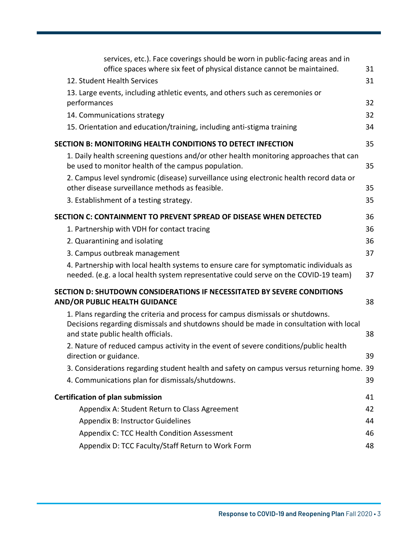| services, etc.). Face coverings should be worn in public-facing areas and in<br>office spaces where six feet of physical distance cannot be maintained.                                                         | 31 |
|-----------------------------------------------------------------------------------------------------------------------------------------------------------------------------------------------------------------|----|
| 12. Student Health Services                                                                                                                                                                                     | 31 |
| 13. Large events, including athletic events, and others such as ceremonies or                                                                                                                                   |    |
| performances                                                                                                                                                                                                    | 32 |
| 14. Communications strategy                                                                                                                                                                                     | 32 |
| 15. Orientation and education/training, including anti-stigma training                                                                                                                                          | 34 |
| SECTION B: MONITORING HEALTH CONDITIONS TO DETECT INFECTION                                                                                                                                                     | 35 |
| 1. Daily health screening questions and/or other health monitoring approaches that can<br>be used to monitor health of the campus population.                                                                   | 35 |
| 2. Campus level syndromic (disease) surveillance using electronic health record data or<br>other disease surveillance methods as feasible.                                                                      | 35 |
| 3. Establishment of a testing strategy.                                                                                                                                                                         | 35 |
| SECTION C: CONTAINMENT TO PREVENT SPREAD OF DISEASE WHEN DETECTED                                                                                                                                               | 36 |
| 1. Partnership with VDH for contact tracing                                                                                                                                                                     | 36 |
| 2. Quarantining and isolating                                                                                                                                                                                   | 36 |
| 3. Campus outbreak management                                                                                                                                                                                   | 37 |
| 4. Partnership with local health systems to ensure care for symptomatic individuals as<br>needed. (e.g. a local health system representative could serve on the COVID-19 team)                                  | 37 |
| <b>SECTION D: SHUTDOWN CONSIDERATIONS IF NECESSITATED BY SEVERE CONDITIONS</b><br><b>AND/OR PUBLIC HEALTH GUIDANCE</b>                                                                                          | 38 |
| 1. Plans regarding the criteria and process for campus dismissals or shutdowns.<br>Decisions regarding dismissals and shutdowns should be made in consultation with local<br>and state public health officials. | 38 |
| 2. Nature of reduced campus activity in the event of severe conditions/public health<br>direction or guidance.                                                                                                  | 39 |
| 3. Considerations regarding student health and safety on campus versus returning home. 39                                                                                                                       |    |
| 4. Communications plan for dismissals/shutdowns.                                                                                                                                                                | 39 |
| <b>Certification of plan submission</b>                                                                                                                                                                         | 41 |
| Appendix A: Student Return to Class Agreement                                                                                                                                                                   | 42 |
| Appendix B: Instructor Guidelines                                                                                                                                                                               | 44 |
| Appendix C: TCC Health Condition Assessment                                                                                                                                                                     | 46 |
| Appendix D: TCC Faculty/Staff Return to Work Form                                                                                                                                                               | 48 |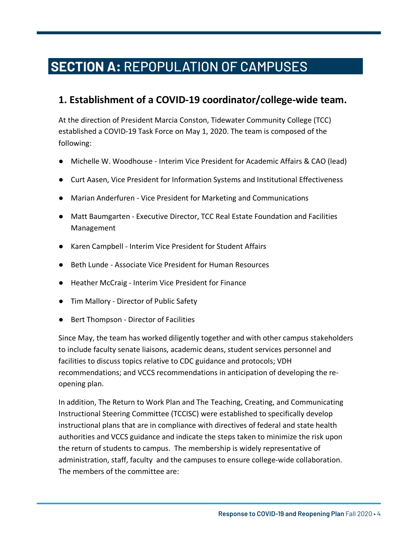## SECTION A: REPOPULATION OF CAMPUSES  **SECTION A:** REPOPULATION OF CAMPUSES

### **1. Establishment of a COVID-19 coordinator/college-wide team.**

At the direction of President Marcia Conston, Tidewater Community College (TCC) established a COVID-19 Task Force on May 1, 2020. The team is composed of the following:

- Michelle W. Woodhouse Interim Vice President for Academic Affairs & CAO (lead)
- Curt Aasen, Vice President for Information Systems and Institutional Effectiveness
- Marian Anderfuren Vice President for Marketing and Communications
- Matt Baumgarten Executive Director, TCC Real Estate Foundation and Facilities Management
- Karen Campbell Interim Vice President for Student Affairs
- Beth Lunde Associate Vice President for Human Resources
- Heather McCraig Interim Vice President for Finance
- Tim Mallory Director of Public Safety
- Bert Thompson Director of Facilities

Since May, the team has worked diligently together and with other campus stakeholders to include faculty senate liaisons, academic deans, student services personnel and facilities to discuss topics relative to CDC guidance and protocols; VDH recommendations; and VCCS recommendations in anticipation of developing the reopening plan.

In addition, The Return to Work Plan and The Teaching, Creating, and Communicating Instructional Steering Committee (TCCISC) were established to specifically develop instructional plans that are in compliance with directives of federal and state health authorities and VCCS guidance and indicate the steps taken to minimize the risk upon the return of students to campus. The membership is widely representative of administration, staff, faculty and the campuses to ensure college-wide collaboration. The members of the committee are: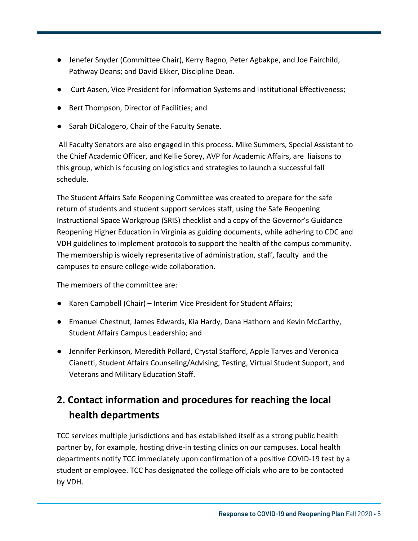- Jenefer Snyder (Committee Chair), Kerry Ragno, Peter Agbakpe, and Joe Fairchild, Pathway Deans; and David Ekker, Discipline Dean.
- Curt Aasen, Vice President for Information Systems and Institutional Effectiveness;
- Bert Thompson, Director of Facilities; and
- Sarah DiCalogero, Chair of the Faculty Senate.

All Faculty Senators are also engaged in this process. Mike Summers, Special Assistant to the Chief Academic Officer, and Kellie Sorey, AVP for Academic Affairs, are liaisons to this group, which is focusing on logistics and strategies to launch a successful fall schedule.

The Student Affairs Safe Reopening Committee was created to prepare for the safe return of students and student support services staff, using the Safe Reopening Instructional Space Workgroup (SRIS) checklist and a copy of the Governor's Guidance Reopening Higher Education in Virginia as guiding documents, while adhering to CDC and VDH guidelines to implement protocols to support the health of the campus community. The membership is widely representative of administration, staff, faculty and the campuses to ensure college-wide collaboration.

The members of the committee are:

- Karen Campbell (Chair) Interim Vice President for Student Affairs;
- Emanuel Chestnut, James Edwards, Kia Hardy, Dana Hathorn and Kevin McCarthy, Student Affairs Campus Leadership; and
- Jennifer Perkinson, Meredith Pollard, Crystal Stafford, Apple Tarves and Veronica Cianetti, Student Affairs Counseling/Advising, Testing, Virtual Student Support, and Veterans and Military Education Staff.

### **2. Contact information and procedures for reaching the local health departments**

TCC services multiple jurisdictions and has established itself as a strong public health partner by, for example, hosting drive-in testing clinics on our campuses. Local health departments notify TCC immediately upon confirmation of a positive COVID-19 test by a student or employee. TCC has designated the college officials who are to be contacted by VDH.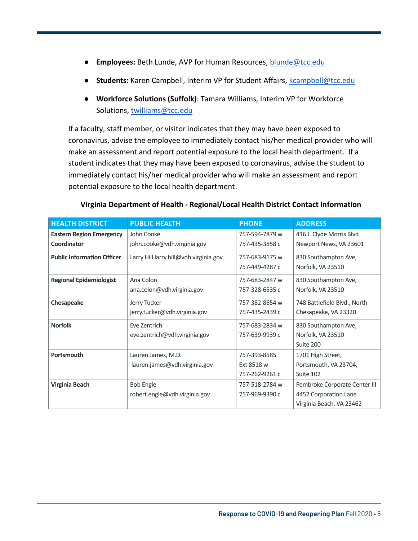- **Employees:** Beth Lunde, AVP for Human Resources, blunde@tcc.edu
- Students: Karen Campbell, Interim VP for Student Affairs, kcampbell@tcc.edu

Page 6

● **Workforce Solutions (Suffolk)**: Tamara Williams, Interim VP for Workforce Solutions, twilliams@tcc.edu

If a faculty, staff member, or visitor indicates that they may have been exposed to coronavirus, advise the employee to immediately contact his/her medical provider who will make an assessment and report potential exposure to the local health department. If a student indicates that they may have been exposed to coronavirus, advise the student to immediately contact his/her medical provider who will make an assessment and report potential exposure to the local health department.

| <b>HEALTH DISTRICT</b>            | <b>PUBLIC HEALTH</b>                                | <b>PHONE</b>                                 | <b>ADDRESS</b>                                                                     |
|-----------------------------------|-----------------------------------------------------|----------------------------------------------|------------------------------------------------------------------------------------|
| <b>Eastern Region Emergency</b>   | John Cooke                                          | 757-594-7879 w                               | 416 J. Clyde Morris Blvd                                                           |
| Coordinator                       | john.cooke@vdh.virginia.gov                         | 757-435-3858 c                               | Newport News, VA 23601                                                             |
| <b>Public Information Officer</b> | Larry Hill larry.hill@vdh.virginia.gov              | 757-683-9175 w<br>757-449-4287 c             | 830 Southampton Ave,<br>Norfolk, VA 23510                                          |
| <b>Regional Epidemiologist</b>    | Ana Colon<br>ana.colon@vdh.virginia.gov             | 757-683-2847 w<br>757-328-6535 c             | 830 Southampton Ave,<br>Norfolk, VA 23510                                          |
| Chesapeake                        | Jerry Tucker<br>jerry.tucker@vdh.virginia.gov       | 757-382-8654 w<br>757-435-2439 с             | 748 Battlefield Blvd., North<br>Chesapeake, VA 23320                               |
| <b>Norfolk</b>                    | Eve Zentrich<br>eve.zentrich@vdh.virginia.gov       | 757-683-2834 w<br>757-639-9939 с             | 830 Southampton Ave,<br>Norfolk, VA 23510<br>Suite 200                             |
| Portsmouth                        | Lauren James, M.D.<br>lauren.james@vdh.virginia.gov | 757-393-8585<br>Ext 8518 w<br>757-262-9261 с | 1701 High Street,<br>Portsmouth, VA 23704,<br>Suite 102                            |
| Virginia Beach                    | <b>Bob Engle</b><br>robert.engle@vdh.virginia.gov   | 757-518-2784 w<br>757-969-9390 с             | Pembroke Corporate Center III<br>4452 Corporation Lane<br>Virginia Beach, VA 23462 |

#### **Virginia Department of Health - Regional/Local Health District Contact Information**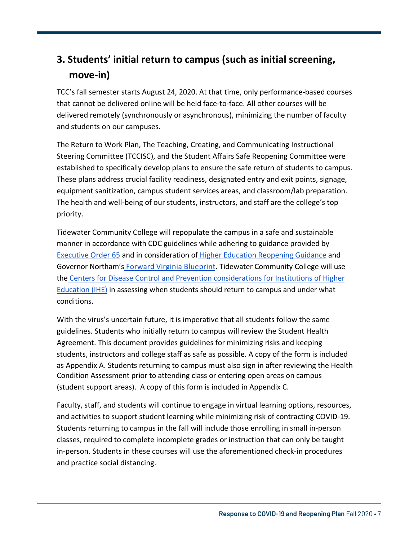### **3. Students' initial return to campus (such as initial screening, move-in)**

TCC's fall semester starts August 24, 2020. At that time, only performance-based courses that cannot be delivered online will be held face-to-face. All other courses will be delivered remotely (synchronously or asynchronous), minimizing the number of faculty and students on our campuses.

The Return to Work Plan, The Teaching, Creating, and Communicating Instructional Steering Committee (TCCISC), and the Student Affairs Safe Reopening Committee were established to specifically develop plans to ensure the safe return of students to campus. These plans address crucial facility readiness, designated entry and exit points, signage, equipment sanitization, campus student services areas, and classroom/lab preparation. The health and well-being of our students, instructors, and staff are the college's top priority.

Tidewater Community College will repopulate the campus in a safe and sustainable manner in accordance with CDC guidelines while adhering to guidance provided by [Executive](https://www.governor.virginia.gov/media/governorvirginiagov/executive-actions/EO-65-and-Order-Of-Public-Health-Emergency-Six---AMENDED---Phase-Two-Easing-of-Certain-Temporary-Restrictions-Due-to-Novel-Coronavirus-(COVID-19).pdf) Order 65 and in consideration of Higher [Education Reopening](https://www.governor.virginia.gov/media/governorvirginiagov/executive-actions/EO-65-and-Order-Of-Public-Health-Emergency-Six---AMENDED---Phase-Two-Easing-of-Certain-Temporary-Restrictions-Due-to-Novel-Coronavirus-(COVID-19).pdf) Guidance and Governor Northam's Forward Virginia [Blueprint.](https://www.virginia.gov/coronavirus/) Tidewater Community College will use the Centers for Disease Control [and Prevention considerations](https://www.cdc.gov/coronavirus/2019-ncov/community/colleges-universities/considerations.html) for Institutions of Higher Education (IHE) in assessing when students should return to campus and under what conditions.

With the virus's uncertain future, it is imperative that all students follow the same guidelines. Students who initially return to campus will review the Student Health Agreement. This document provides guidelines for minimizing risks and keeping students, instructors and college staff as safe as possible. A copy of the form is included as Appendix A. Students returning to campus must also sign in after reviewing the Health Condition Assessment prior to attending class or entering open areas on campus (student support areas). A copy of this form is included in Appendix C.

Faculty, staff, and students will continue to engage in virtual learning options, resources, and activities to support student learning while minimizing risk of contracting COVID-19. Students returning to campus in the fall will include those enrolling in small in-person classes, required to complete incomplete grades or instruction that can only be taught in-person. Students in these courses will use the aforementioned check-in procedures and practice social distancing.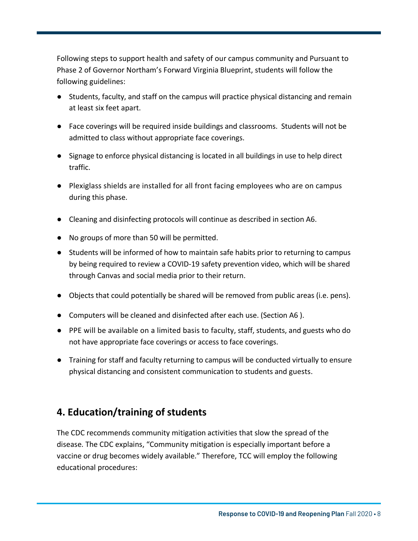Following steps to support health and safety of our campus community and Pursuant to Phase 2 of Governor Northam's Forward Virginia Blueprint, students will follow the following guidelines:

- Students, faculty, and staff on the campus will practice physical distancing and remain at least six feet apart.
- Face coverings will be required inside buildings and classrooms. Students will not be admitted to class without appropriate face coverings.
- Signage to enforce physical distancing is located in all buildings in use to help direct traffic.
- Plexiglass shields are installed for all front facing employees who are on campus during this phase.
- Cleaning and disinfecting protocols will continue as described in section A6.
- No groups of more than 50 will be permitted.
- Students will be informed of how to maintain safe habits prior to returning to campus by being required to review a COVID-19 safety prevention video, which will be shared through Canvas and social media prior to their return.
- Objects that could potentially be shared will be removed from public areas (i.e. pens).
- Computers will be cleaned and disinfected after each use. (Section A6 ).
- PPE will be available on a limited basis to faculty, staff, students, and guests who do not have appropriate face coverings or access to face coverings.
- Training for staff and faculty returning to campus will be conducted virtually to ensure physical distancing and consistent communication to students and guests.

### **4. Education/training of students**

The CDC recommends community mitigation activities that slow the spread of the disease. The CDC explains, "Community mitigation is especially important before a vaccine or drug becomes widely available." Therefore, TCC will employ the following educational procedures: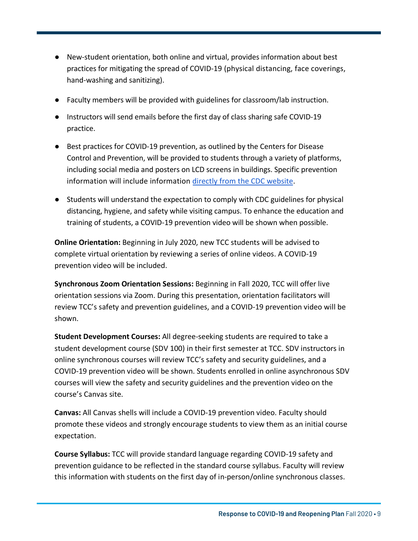- New-student orientation, both online and virtual, provides information about best practices for mitigating the spread of COVID-19 (physical distancing, face coverings, hand-washing and sanitizing).
- Faculty members will be provided with guidelines for classroom/lab instruction.
- Instructors will send emails before the first day of class sharing safe COVID-19 practice.
- Best practices for COVID-19 prevention, as outlined by the Centers for Disease Control and Prevention, will be provided to students through a variety of platforms, including social media and posters on LCD screens in buildings. Specific prevention information will include information directly from the CDC [website.](https://www.cdc.gov/coronavirus/2019-ncov/prevent-getting-sick/prevention.html)
- Students will understand the expectation to comply with CDC guidelines for physical distancing, hygiene, and safety while visiting campus. To enhance the education and training of students, a COVID-19 prevention video will be shown when possible.

**Online Orientation:** Beginning in July 2020, new TCC students will be advised to complete virtual orientation by reviewing a series of online videos. A COVID-19 prevention video will be included.

**Synchronous Zoom Orientation Sessions:** Beginning in Fall 2020, TCC will offer live orientation sessions via Zoom. During this presentation, orientation facilitators will review TCC's safety and prevention guidelines, and a COVID-19 prevention video will be shown.

**Student Development Courses:** All degree-seeking students are required to take a student development course (SDV 100) in their first semester at TCC. SDV instructors in online synchronous courses will review TCC's safety and security guidelines, and a COVID-19 prevention video will be shown. Students enrolled in online asynchronous SDV courses will view the safety and security guidelines and the prevention video on the course's Canvas site.

**Canvas:** All Canvas shells will include a COVID-19 prevention video. Faculty should promote these videos and strongly encourage students to view them as an initial course expectation.

**Course Syllabus:** TCC will provide standard language regarding COVID-19 safety and prevention guidance to be reflected in the standard course syllabus. Faculty will review this information with students on the first day of in-person/online synchronous classes.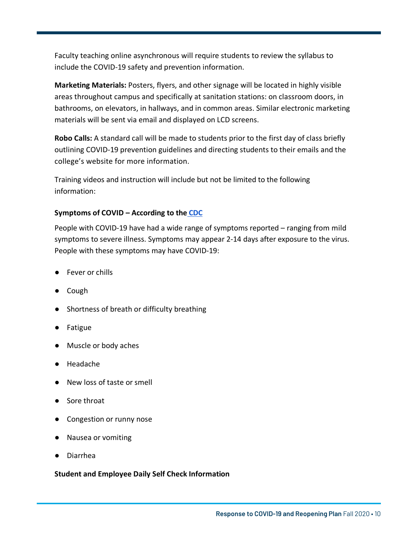Faculty teaching online asynchronous will require students to review the syllabus to include the COVID-19 safety and prevention information.

**Marketing Materials:** Posters, flyers, and other signage will be located in highly visible areas throughout campus and specifically at sanitation stations: on classroom doors, in bathrooms, on elevators, in hallways, and in common areas. Similar electronic marketing materials will be sent via email and displayed on LCD screens.

**Robo Calls:** A standard call will be made to students prior to the first day of class briefly outlining COVID-19 prevention guidelines and directing students to their emails and the college's website for more information.

Training videos and instruction will include but not be limited to the following information:

#### **Symptoms of COVID – According to the [CDC](https://www.cdc.gov/coronavirus/2019-ncov/symptoms-testing/symptoms.html)**

People with COVID-19 have had a wide range of symptoms reported – ranging from mild symptoms to severe illness. Symptoms may appear 2-14 days after exposure to the virus. People with these symptoms may have COVID-19:

- Fever or chills
- Cough
- Shortness of breath or difficulty breathing
- Fatigue
- Muscle or body aches
- Headache
- New loss of taste or smell
- Sore throat
- Congestion or runny nose
- Nausea or vomiting
- Diarrhea

#### **Student and Employee Daily Self Check Information**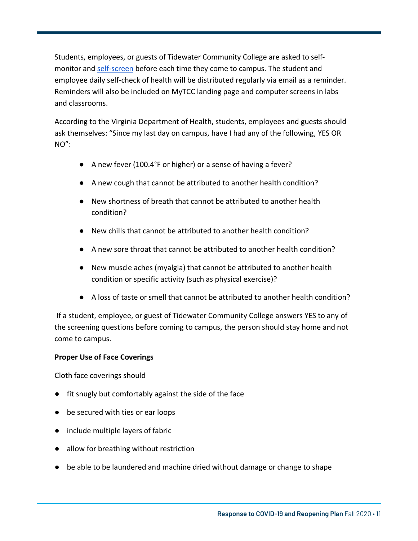Students, employees, or guests of Tidewater Community College are asked to selfmonitor and [self-screen](https://www.vdh.virginia.gov/coronavirus/covidcheck/) before each time they come to campus. The student and employee daily self-check of health will be distributed regularly via email as a reminder. Reminders will also be included on MyTCC landing page and computer screens in labs and classrooms.

According to the Virginia Department of Health, students, employees and guests should ask themselves: "Since my last day on campus, have I had any of the following, YES OR NO":

- A new fever (100.4°F or higher) or a sense of having a fever?
- A new cough that cannot be attributed to another health condition?
- New shortness of breath that cannot be attributed to another health condition?
- New chills that cannot be attributed to another health condition?
- A new sore throat that cannot be attributed to another health condition?
- New muscle aches (myalgia) that cannot be attributed to another health condition or specific activity (such as physical exercise)?
- A loss of taste or smell that cannot be attributed to another health condition?

If a student, employee, or guest of Tidewater Community College answers YES to any of the screening questions before coming to campus, the person should stay home and not come to campus.

#### **Proper Use of Face Coverings**

Cloth face coverings should

- fit snugly but comfortably against the side of the face
- be secured with ties or ear loops
- include multiple layers of fabric
- allow for breathing without restriction
- be able to be laundered and machine dried without damage or change to shape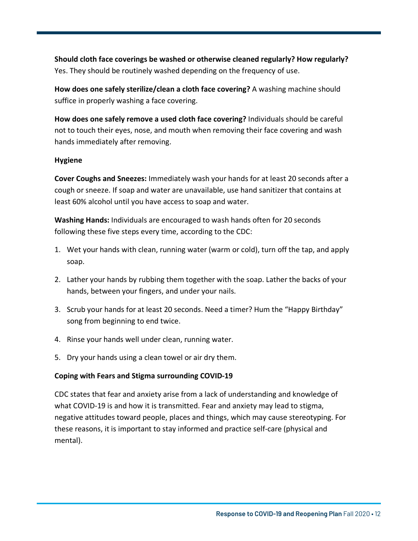**Should cloth face coverings be washed or otherwise cleaned regularly? How regularly?**  Yes. They should be routinely washed depending on the frequency of use.

**How does one safely sterilize/clean a cloth face covering?** A washing machine should suffice in properly washing a face covering.

**How does one safely remove a used cloth face covering?** Individuals should be careful not to touch their eyes, nose, and mouth when removing their face covering and wash hands immediately after removing.

#### **Hygiene**

**Cover Coughs and Sneezes:** Immediately wash your hands for at least 20 seconds after a cough or sneeze. If soap and water are unavailable, use hand sanitizer that contains at least 60% alcohol until you have access to soap and water.

**Washing Hands:** Individuals are encouraged to wash hands often for 20 seconds following these five steps every time, according to the CDC:

- 1. Wet your hands with clean, running water (warm or cold), turn off the tap, and apply soap.
- 2. Lather your hands by rubbing them together with the soap. Lather the backs of your hands, between your fingers, and under your nails.
- 3. Scrub your hands for at least 20 seconds. Need a timer? Hum the "Happy Birthday" song from beginning to end twice.
- 4. Rinse your hands well under clean, running water.
- 5. Dry your hands using a clean towel or air dry them.

#### **Coping with Fears and Stigma surrounding COVID-19**

CDC states that fear and anxiety arise from a lack of understanding and knowledge of what COVID-19 is and how it is transmitted. Fear and anxiety may lead to stigma, negative attitudes toward people, places and things, which may cause stereotyping. For these reasons, it is important to stay informed and practice self-care (physical and mental).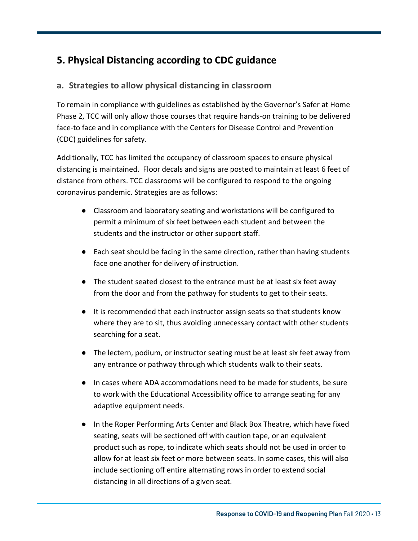### **5. Physical Distancing according to CDC guidance**

#### **a. Strategies to allow physical distancing in classroom**

To remain in compliance with guidelines as established by the Governor's Safer at Home Phase 2, TCC will only allow those courses that require hands-on training to be delivered face-to face and in compliance with the Centers for Disease Control and Prevention (CDC) guidelines for safety.

Additionally, TCC has limited the occupancy of classroom spaces to ensure physical distancing is maintained. Floor decals and signs are posted to maintain at least 6 feet of distance from others. TCC classrooms will be configured to respond to the ongoing coronavirus pandemic. Strategies are as follows:

- Classroom and laboratory seating and workstations will be configured to permit a minimum of six feet between each student and between the students and the instructor or other support staff.
- Each seat should be facing in the same direction, rather than having students face one another for delivery of instruction.
- The student seated closest to the entrance must be at least six feet away from the door and from the pathway for students to get to their seats.
- It is recommended that each instructor assign seats so that students know where they are to sit, thus avoiding unnecessary contact with other students searching for a seat.
- The lectern, podium, or instructor seating must be at least six feet away from any entrance or pathway through which students walk to their seats.
- In cases where ADA accommodations need to be made for students, be sure to work with the Educational Accessibility office to arrange seating for any adaptive equipment needs.
- In the Roper Performing Arts Center and Black Box Theatre, which have fixed seating, seats will be sectioned off with caution tape, or an equivalent product such as rope, to indicate which seats should not be used in order to allow for at least six feet or more between seats. In some cases, this will also include sectioning off entire alternating rows in order to extend social distancing in all directions of a given seat.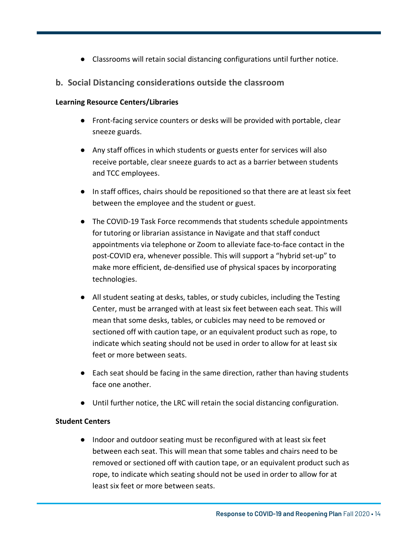Classrooms will retain social distancing configurations until further notice.

Page 14

#### **b. Social Distancing considerations outside the classroom**

#### **Learning Resource Centers/Libraries**

- Front-facing service counters or desks will be provided with portable, clear sneeze guards.
- Any staff offices in which students or guests enter for services will also receive portable, clear sneeze guards to act as a barrier between students and TCC employees.
- In staff offices, chairs should be repositioned so that there are at least six feet between the employee and the student or guest.
- The COVID-19 Task Force recommends that students schedule appointments for tutoring or librarian assistance in Navigate and that staff conduct appointments via telephone or Zoom to alleviate face-to-face contact in the post-COVID era, whenever possible. This will support a "hybrid set-up" to make more efficient, de-densified use of physical spaces by incorporating technologies.
- All student seating at desks, tables, or study cubicles, including the Testing Center, must be arranged with at least six feet between each seat. This will mean that some desks, tables, or cubicles may need to be removed or sectioned off with caution tape, or an equivalent product such as rope, to indicate which seating should not be used in order to allow for at least six feet or more between seats.
- Each seat should be facing in the same direction, rather than having students face one another.
- Until further notice, the LRC will retain the social distancing configuration.

#### **Student Centers**

● Indoor and outdoor seating must be reconfigured with at least six feet between each seat. This will mean that some tables and chairs need to be removed or sectioned off with caution tape, or an equivalent product such as rope, to indicate which seating should not be used in order to allow for at least six feet or more between seats.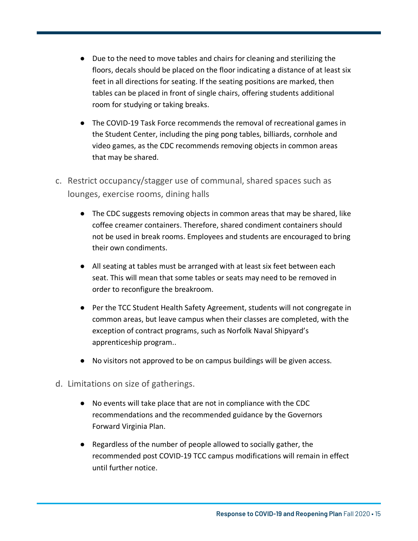● Due to the need to move tables and chairs for cleaning and sterilizing the floors, decals should be placed on the floor indicating a distance of at least six feet in all directions for seating. If the seating positions are marked, then tables can be placed in front of single chairs, offering students additional room for studying or taking breaks.

- The COVID-19 Task Force recommends the removal of recreational games in the Student Center, including the ping pong tables, billiards, cornhole and video games, as the CDC recommends removing objects in common areas that may be shared.
- c. Restrict occupancy/stagger use of communal, shared spaces such as lounges, exercise rooms, dining halls
	- The CDC suggests removing objects in common areas that may be shared, like coffee creamer containers. Therefore, shared condiment containers should not be used in break rooms. Employees and students are encouraged to bring their own condiments.
	- All seating at tables must be arranged with at least six feet between each seat. This will mean that some tables or seats may need to be removed in order to reconfigure the breakroom.
	- Per the TCC Student Health Safety Agreement, students will not congregate in common areas, but leave campus when their classes are completed, with the exception of contract programs, such as Norfolk Naval Shipyard's apprenticeship program..
	- No visitors not approved to be on campus buildings will be given access.
- d. Limitations on size of gatherings.
	- No events will take place that are not in compliance with the CDC recommendations and the recommended guidance by the Governors Forward Virginia Plan.
	- Regardless of the number of people allowed to socially gather, the recommended post COVID-19 TCC campus modifications will remain in effect until further notice.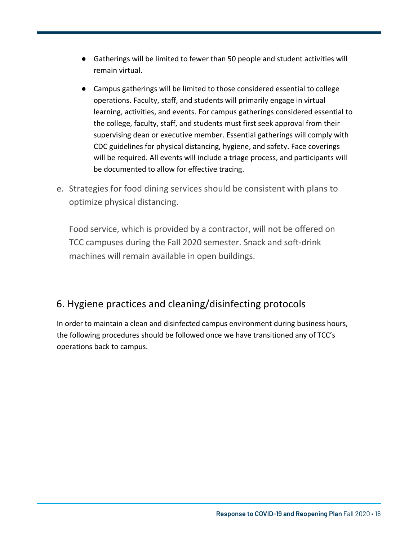● Gatherings will be limited to fewer than 50 people and student activities will remain virtual.

Page 16

- Campus gatherings will be limited to those considered essential to college operations. Faculty, staff, and students will primarily engage in virtual learning, activities, and events. For campus gatherings considered essential to the college, faculty, staff, and students must first seek approval from their supervising dean or executive member. Essential gatherings will comply with CDC guidelines for physical distancing, hygiene, and safety. Face coverings will be required. All events will include a triage process, and participants will be documented to allow for effective tracing.
- e. Strategies for food dining services should be consistent with plans to optimize physical distancing.

Food service, which is provided by a contractor, will not be offered on TCC campuses during the Fall 2020 semester. Snack and soft-drink machines will remain available in open buildings.

### 6. Hygiene practices and cleaning/disinfecting protocols

In order to maintain a clean and disinfected campus environment during business hours, the following procedures should be followed once we have transitioned any of TCC's operations back to campus.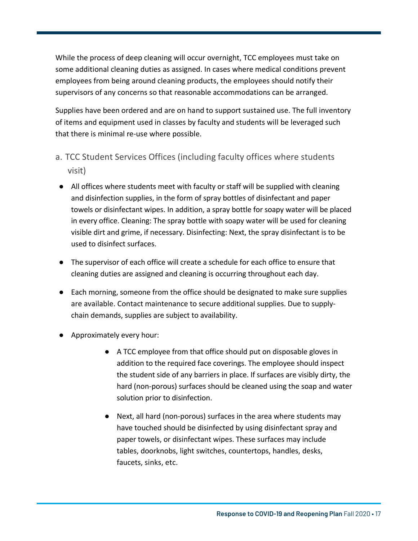While the process of deep cleaning will occur overnight, TCC employees must take on some additional cleaning duties as assigned. In cases where medical conditions prevent employees from being around cleaning products, the employees should notify their supervisors of any concerns so that reasonable accommodations can be arranged.

Supplies have been ordered and are on hand to support sustained use. The full inventory of items and equipment used in classes by faculty and students will be leveraged such that there is minimal re-use where possible.

- a. TCC Student Services Offices (including faculty offices where students visit)
- All offices where students meet with faculty or staff will be supplied with cleaning and disinfection supplies, in the form of spray bottles of disinfectant and paper towels or disinfectant wipes. In addition, a spray bottle for soapy water will be placed in every office. Cleaning: The spray bottle with soapy water will be used for cleaning visible dirt and grime, if necessary. Disinfecting: Next, the spray disinfectant is to be used to disinfect surfaces.
- The supervisor of each office will create a schedule for each office to ensure that cleaning duties are assigned and cleaning is occurring throughout each day.
- Each morning, someone from the office should be designated to make sure supplies are available. Contact maintenance to secure additional supplies. Due to supplychain demands, supplies are subject to availability.
- Approximately every hour:
	- A TCC employee from that office should put on disposable gloves in addition to the required face coverings. The employee should inspect the student side of any barriers in place. If surfaces are visibly dirty, the hard (non-porous) surfaces should be cleaned using the soap and water solution prior to disinfection.
	- Next, all hard (non-porous) surfaces in the area where students may have touched should be disinfected by using disinfectant spray and paper towels, or disinfectant wipes. These surfaces may include tables, doorknobs, light switches, countertops, handles, desks, faucets, sinks, etc.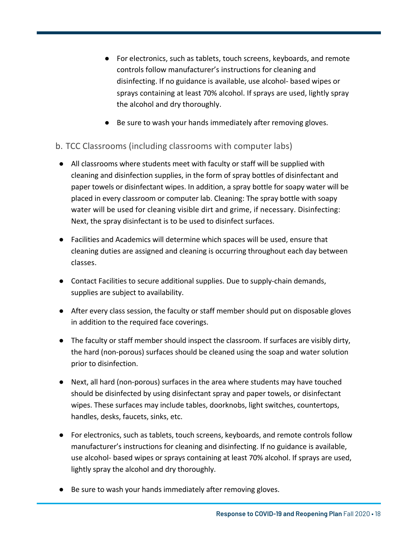● For electronics, such as tablets, touch screens, keyboards, and remote controls follow manufacturer's instructions for cleaning and disinfecting. If no guidance is available, use alcohol- based wipes or sprays containing at least 70% alcohol. If sprays are used, lightly spray the alcohol and dry thoroughly.

Page 18

● Be sure to wash your hands immediately after removing gloves.

#### b. TCC Classrooms (including classrooms with computer labs)

- All classrooms where students meet with faculty or staff will be supplied with cleaning and disinfection supplies, in the form of spray bottles of disinfectant and paper towels or disinfectant wipes. In addition, a spray bottle for soapy water will be placed in every classroom or computer lab. Cleaning: The spray bottle with soapy water will be used for cleaning visible dirt and grime, if necessary. Disinfecting: Next, the spray disinfectant is to be used to disinfect surfaces.
- Facilities and Academics will determine which spaces will be used, ensure that cleaning duties are assigned and cleaning is occurring throughout each day between classes.
- Contact Facilities to secure additional supplies. Due to supply-chain demands, supplies are subject to availability.
- After every class session, the faculty or staff member should put on disposable gloves in addition to the required face coverings.
- The faculty or staff member should inspect the classroom. If surfaces are visibly dirty, the hard (non-porous) surfaces should be cleaned using the soap and water solution prior to disinfection.
- Next, all hard (non-porous) surfaces in the area where students may have touched should be disinfected by using disinfectant spray and paper towels, or disinfectant wipes. These surfaces may include tables, doorknobs, light switches, countertops, handles, desks, faucets, sinks, etc.
- For electronics, such as tablets, touch screens, keyboards, and remote controls follow manufacturer's instructions for cleaning and disinfecting. If no guidance is available, use alcohol- based wipes or sprays containing at least 70% alcohol. If sprays are used, lightly spray the alcohol and dry thoroughly.
- Be sure to wash your hands immediately after removing gloves.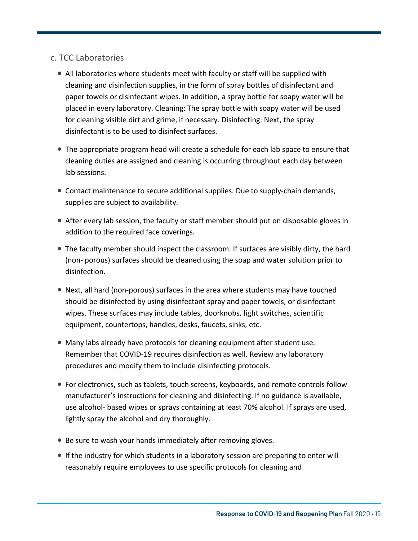#### c. TCC Laboratories

- All laboratories where students meet with faculty or staff will be supplied with cleaning and disinfection supplies, in the form of spray bottles of disinfectant and paper towels or disinfectant wipes. In addition, a spray bottle for soapy water will be placed in every laboratory. Cleaning: The spray bottle with soapy water will be used for cleaning visible dirt and grime, if necessary. Disinfecting: Next, the spray disinfectant is to be used to disinfect surfaces.
- The appropriate program head will create a schedule for each lab space to ensure that cleaning duties are assigned and cleaning is occurring throughout each day between lab sessions.
- Contact maintenance to secure additional supplies. Due to supply-chain demands, supplies are subject to availability.
- After every lab session, the faculty or staff member should put on disposable gloves in addition to the required face coverings.
- The faculty member should inspect the classroom. If surfaces are visibly dirty, the hard (non- porous) surfaces should be cleaned using the soap and water solution prior to disinfection.
- Next, all hard (non-porous) surfaces in the area where students may have touched should be disinfected by using disinfectant spray and paper towels, or disinfectant wipes. These surfaces may include tables, doorknobs, light switches, scientific equipment, countertops, handles, desks, faucets, sinks, etc.
- Many labs already have protocols for cleaning equipment after student use. Remember that COVID-19 requires disinfection as well. Review any laboratory procedures and modify them to include disinfecting protocols.
- For electronics, such as tablets, touch screens, keyboards, and remote controls follow manufacturer's instructions for cleaning and disinfecting. If no guidance is available, use alcohol- based wipes or sprays containing at least 70% alcohol. If sprays are used, lightly spray the alcohol and dry thoroughly.
- Be sure to wash your hands immediately after removing gloves.
- If the industry for which students in a laboratory session are preparing to enter will reasonably require employees to use specific protocols for cleaning and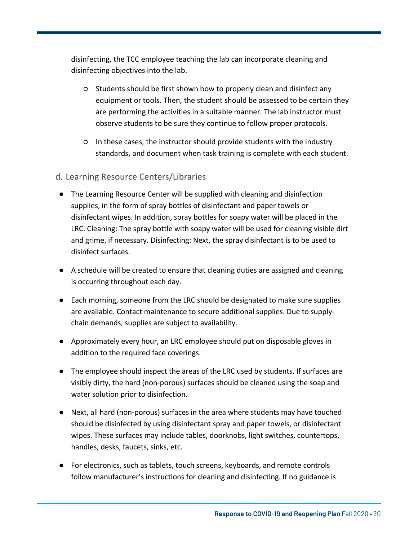disinfecting, the TCC employee teaching the lab can incorporate cleaning and disinfecting objectives into the lab.

- Students should be first shown how to properly clean and disinfect any equipment or tools. Then, the student should be assessed to be certain they are performing the activities in a suitable manner. The lab instructor must observe students to be sure they continue to follow proper protocols.
- In these cases, the instructor should provide students with the industry standards, and document when task training is complete with each student.
- d. Learning Resource Centers/Libraries
- The Learning Resource Center will be supplied with cleaning and disinfection supplies, in the form of spray bottles of disinfectant and paper towels or disinfectant wipes. In addition, spray bottles for soapy water will be placed in the LRC. Cleaning: The spray bottle with soapy water will be used for cleaning visible dirt and grime, if necessary. Disinfecting: Next, the spray disinfectant is to be used to disinfect surfaces.
- A schedule will be created to ensure that cleaning duties are assigned and cleaning is occurring throughout each day.
- Each morning, someone from the LRC should be designated to make sure supplies are available. Contact maintenance to secure additional supplies. Due to supplychain demands, supplies are subject to availability.
- Approximately every hour, an LRC employee should put on disposable gloves in addition to the required face coverings.
- The employee should inspect the areas of the LRC used by students. If surfaces are visibly dirty, the hard (non-porous) surfaces should be cleaned using the soap and water solution prior to disinfection.
- Next, all hard (non-porous) surfaces in the area where students may have touched should be disinfected by using disinfectant spray and paper towels, or disinfectant wipes. These surfaces may include tables, doorknobs, light switches, countertops, handles, desks, faucets, sinks, etc.
- For electronics, such as tablets, touch screens, keyboards, and remote controls follow manufacturer's instructions for cleaning and disinfecting. If no guidance is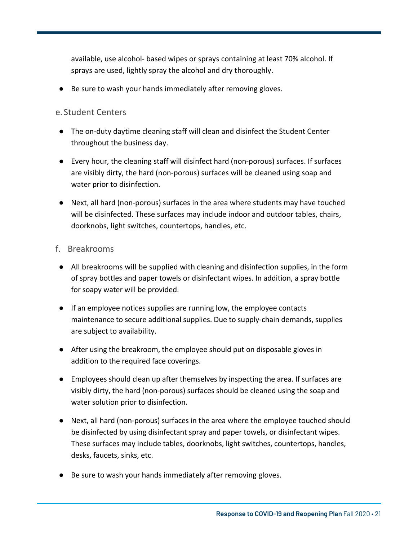available, use alcohol- based wipes or sprays containing at least 70% alcohol. If sprays are used, lightly spray the alcohol and dry thoroughly.

Be sure to wash your hands immediately after removing gloves.

#### e. Student Centers

- The on-duty daytime cleaning staff will clean and disinfect the Student Center throughout the business day.
- Every hour, the cleaning staff will disinfect hard (non-porous) surfaces. If surfaces are visibly dirty, the hard (non-porous) surfaces will be cleaned using soap and water prior to disinfection.
- Next, all hard (non-porous) surfaces in the area where students may have touched will be disinfected. These surfaces may include indoor and outdoor tables, chairs, doorknobs, light switches, countertops, handles, etc.

#### f. Breakrooms

- All breakrooms will be supplied with cleaning and disinfection supplies, in the form of spray bottles and paper towels or disinfectant wipes. In addition, a spray bottle for soapy water will be provided.
- If an employee notices supplies are running low, the employee contacts maintenance to secure additional supplies. Due to supply-chain demands, supplies are subject to availability.
- After using the breakroom, the employee should put on disposable gloves in addition to the required face coverings.
- Employees should clean up after themselves by inspecting the area. If surfaces are visibly dirty, the hard (non-porous) surfaces should be cleaned using the soap and water solution prior to disinfection.
- Next, all hard (non-porous) surfaces in the area where the employee touched should be disinfected by using disinfectant spray and paper towels, or disinfectant wipes. These surfaces may include tables, doorknobs, light switches, countertops, handles, desks, faucets, sinks, etc.
- Be sure to wash your hands immediately after removing gloves.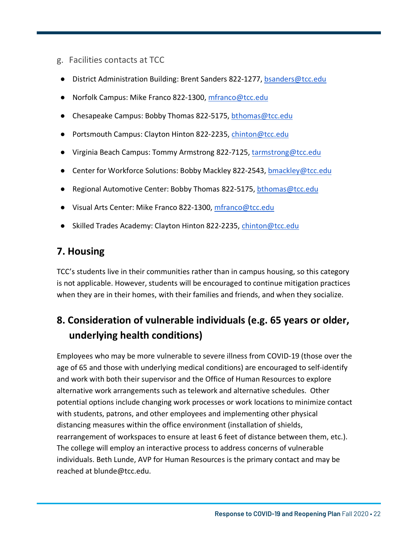- g. Facilities contacts at TCC
- District Administration Building: Brent Sanders 822-1277, bsanders@tcc.edu
- Norfolk Campus: Mike Franco 822-1300, mfranco@tcc.edu
- Chesapeake Campus: Bobby Thomas 822-5175, bthomas@tcc.edu
- Portsmouth Campus: Clayton Hinton 822-2235, chinton@tcc.edu
- Virginia Beach Campus: Tommy Armstrong 822-7125, tarmstrong@tcc.edu
- Center for Workforce Solutions: Bobby Mackley 822-2543, bmackley@tcc.edu
- Regional Automotive Center: Bobby Thomas 822-5175, bthomas@tcc.edu
- Visual Arts Center: Mike Franco 822-1300, mfranco@tcc.edu
- Skilled Trades Academy: Clayton Hinton 822-2235, chinton@tcc.edu

### **7. Housing**

TCC's students live in their communities rather than in campus housing, so this category is not applicable. However, students will be encouraged to continue mitigation practices when they are in their homes, with their families and friends, and when they socialize.

### **8. Consideration of vulnerable individuals (e.g. 65 years or older, underlying health conditions)**

Employees who may be more vulnerable to severe illness from COVID-19 (those over the age of 65 and those with underlying medical conditions) are encouraged to self-identify and work with both their supervisor and the Office of Human Resources to explore alternative work arrangements such as telework and alternative schedules. Other potential options include changing work processes or work locations to minimize contact with students, patrons, and other employees and implementing other physical distancing measures within the office environment (installation of shields, rearrangement of workspaces to ensure at least 6 feet of distance between them, etc.). The college will employ an interactive process to address concerns of vulnerable individuals. Beth Lunde, AVP for Human Resources is the primary contact and may be reached at blunde@tcc.edu.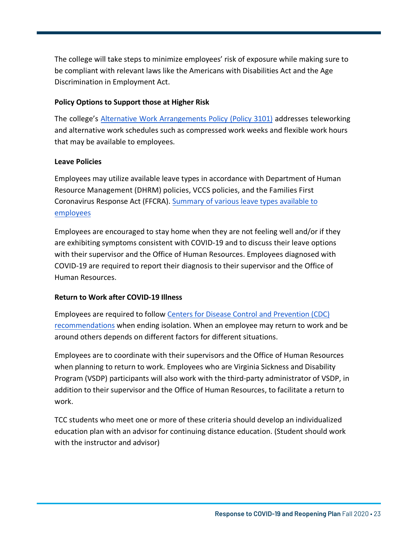The college will take steps to minimize employees' risk of exposure while making sure to be compliant with relevant laws like the Americans with Disabilities Act and the Age Discrimination in Employment Act.

#### **Policy Options to Support those at Higher Risk**

The college's [Alternative Work Arrangements Policy \(Policy 3101\)](https://www.tcc.edu/wp-content/uploads/2020/06/Policy-3101-Alternative-Work-Arrangements.pdf) addresses teleworking and alternative work schedules such as compressed work weeks and flexible work hours that may be available to employees.

#### **Leave Policies**

Employees may utilize available leave types in accordance with Department of Human Resource Management (DHRM) policies, VCCS policies, and the Families First Coronavirus Response Act (FFCRA). Summary of [various leave types available to](https://www.dhrm.virginia.gov/docs/default-source/covid-19/covid-19-leave-types-chart-4-16-20.pdf?sfvrsn=82b7f197_0"Summary%20of%20various%20leave%20types%20available%20to%20employees) employees

Employees are encouraged to stay home when they are not feeling well and/or if they are exhibiting symptoms consistent with COVID-19 and to discuss their leave options with their supervisor and the Office of Human Resources. Employees diagnosed with COVID-19 are required to report their diagnosis to their supervisor and the Office of Human Resources.

#### **Return to Work after COVID-19 Illness**

Employees are required to follow [Centers for Disease Control and Prevention \(CDC\)](https://www.cdc.gov/coronavirus/2019-ncov/if-you-are-sick/end-home-isolation.html?CDC_AA_refVal=https%3A%2F%2Fwww.cdc.gov%2Fcoronavirus%2F2019-ncov%2Fprevent-getting-sick%2Fwhen-its-safe.html"Centers%20for%20Disease%20Control%20and%20Prevention%20(CDC)%20recommendations) recommendations when ending isolation. When an employee may return to work and be around others depends on different factors for different situations.

Employees are to coordinate with their supervisors and the Office of Human Resources when planning to return to work. Employees who are Virginia Sickness and Disability Program (VSDP) participants will also work with the third-party administrator of VSDP, in addition to their supervisor and the Office of Human Resources, to facilitate a return to work.

TCC students who meet one or more of these criteria should develop an individualized education plan with an advisor for continuing distance education. (Student should work with the instructor and advisor)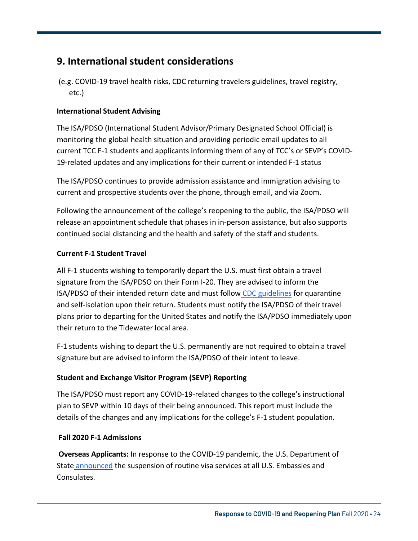### **9. International student considerations**

(e.g. COVID-19 travel health risks, CDC returning travelers guidelines, travel registry, etc.)

#### **International Student Advising**

The ISA/PDSO (International Student Advisor/Primary Designated School Official) is monitoring the global health situation and providing periodic email updates to all current TCC F-1 students and applicants informing them of any of TCC's or SEVP's COVID-19-related updates and any implications for their current or intended F-1 status

The ISA/PDSO continues to provide admission assistance and immigration advising to current and prospective students over the phone, through email, and via Zoom.

Following the announcement of the college's reopening to the public, the ISA/PDSO will release an appointment schedule that phases in in-person assistance, but also supports continued social distancing and the health and safety of the staff and students.

#### **Current F-1 Student Travel**

All F-1 students wishing to temporarily depart the U.S. must first obtain a travel signature from the ISA/PDSO on their Form I-20. They are advised to inform the ISA/PDSO of their intended return date and must follow CDC [guidelines](https://www.cdc.gov/coronavirus/2019-nCoV/index.html) for quarantine and self-isolation upon their return. Students must notify the ISA/PDSO of their travel plans prior to departing for the United States and notify the ISA/PDSO immediately upon their return to the Tidewater local area.

F-1 students wishing to depart the U.S. permanently are not required to obtain a travel signature but are advised to inform the ISA/PDSO of their intent to leave.

#### **Student and Exchange Visitor Program (SEVP) Reporting**

The ISA/PDSO must report any COVID-19-related changes to the college's instructional plan to SEVP within 10 days of their being announced. This report must include the details of the changes and any implications for the college's F-1 student population.

#### **Fall 2020 F-1 Admissions**

**Overseas Applicants:** In response to the COVID-19 pandemic, the U.S. Department of State [announced](https://travel.state.gov/content/travel/en/News/visas-news/suspension-of-routine-visa-services.html) the suspension of routine visa services at all U.S. Embassies and Consulates.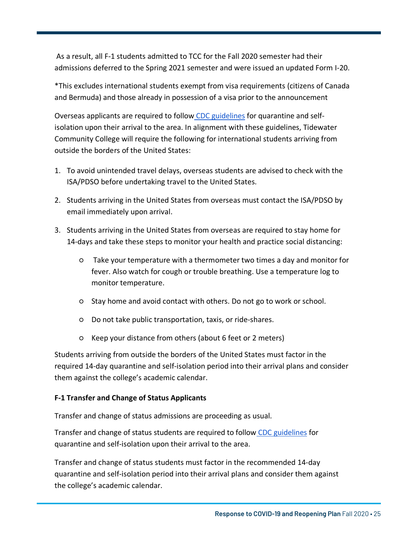As a result, all F-1 students admitted to TCC for the Fall 2020 semester had their admissions deferred to the Spring 2021 semester and were issued an updated Form I-20.

\*This excludes international students exempt from visa requirements (citizens of Canada and Bermuda) and those already in possession of a visa prior to the announcement

Overseas applicants are required to follow CDC [guidelines](https://www.cdc.gov/coronavirus/2019-nCoV/index.html) for quarantine and selfisolation upon their arrival to the area. In alignment with these guidelines, Tidewater Community College will require the following for international students arriving from outside the borders of the United States:

- 1. To avoid unintended travel delays, overseas students are advised to check with the ISA/PDSO before undertaking travel to the United States.
- 2. Students arriving in the United States from overseas must contact the ISA/PDSO by email immediately upon arrival.
- 3. Students arriving in the United States from overseas are required to stay home for 14-days and take these steps to monitor your health and practice social distancing:
	- Take your temperature with a thermometer two times a day and monitor for fever. Also watch for cough or trouble breathing. Use a temperature log to monitor temperature.
	- Stay home and avoid contact with others. Do not go to work or school.
	- Do not take public transportation, taxis, or ride-shares.
	- Keep your distance from others (about 6 feet or 2 meters)

Students arriving from outside the borders of the United States must factor in the required 14-day quarantine and self-isolation period into their arrival plans and consider them against the college's academic calendar.

#### **F-1 Transfer and Change of Status Applicants**

Transfer and change of status admissions are proceeding as usual.

Transfer and change of status students are required to follow CDC [guidelines](https://www.cdc.gov/coronavirus/2019-nCoV/index.html) for quarantine and self-isolation upon their arrival to the area.

Transfer and change of status students must factor in the recommended 14-day quarantine and self-isolation period into their arrival plans and consider them against the college's academic calendar.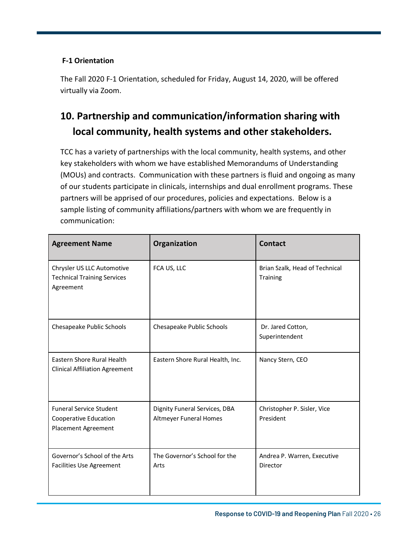#### **F-1 Orientation**

The Fall 2020 F-1 Orientation, scheduled for Friday, August 14, 2020, will be offered virtually via Zoom.

### **10. Partnership and communication/information sharing with local community, health systems and other stakeholders.**

TCC has a variety of partnerships with the local community, health systems, and other key stakeholders with whom we have established Memorandums of Understanding (MOUs) and contracts. Communication with these partners is fluid and ongoing as many of our students participate in clinicals, internships and dual enrollment programs. These partners will be apprised of our procedures, policies and expectations. Below is a sample listing of community affiliations/partners with whom we are frequently in communication:

| <b>Agreement Name</b>                                                          | Organization                                                   | <b>Contact</b>                                    |
|--------------------------------------------------------------------------------|----------------------------------------------------------------|---------------------------------------------------|
| Chrysler US LLC Automotive<br><b>Technical Training Services</b><br>Agreement  | FCA US, LLC                                                    | Brian Szalk, Head of Technical<br><b>Training</b> |
| Chesapeake Public Schools                                                      | Chesapeake Public Schools                                      | Dr. Jared Cotton,<br>Superintendent               |
| Eastern Shore Rural Health<br><b>Clinical Affiliation Agreement</b>            | Eastern Shore Rural Health, Inc.                               | Nancy Stern, CEO                                  |
| <b>Funeral Service Student</b><br>Cooperative Education<br>Placement Agreement | Dignity Funeral Services, DBA<br><b>Altmeyer Funeral Homes</b> | Christopher P. Sisler, Vice<br>President          |
| Governor's School of the Arts<br><b>Facilities Use Agreement</b>               | The Governor's School for the<br>Arts                          | Andrea P. Warren, Executive<br>Director           |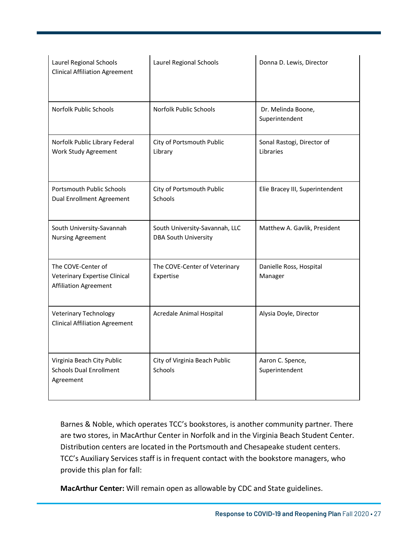| Laurel Regional Schools<br><b>Clinical Affiliation Agreement</b>             | Laurel Regional Schools                                       | Donna D. Lewis, Director                |
|------------------------------------------------------------------------------|---------------------------------------------------------------|-----------------------------------------|
| Norfolk Public Schools                                                       | Norfolk Public Schools                                        | Dr. Melinda Boone,<br>Superintendent    |
| Norfolk Public Library Federal<br>Work Study Agreement                       | City of Portsmouth Public<br>Library                          | Sonal Rastogi, Director of<br>Libraries |
| <b>Portsmouth Public Schools</b><br>Dual Enrollment Agreement                | City of Portsmouth Public<br>Schools                          | Elie Bracey III, Superintendent         |
| South University-Savannah<br><b>Nursing Agreement</b>                        | South University-Savannah, LLC<br><b>DBA South University</b> | Matthew A. Gavlik, President            |
| The COVE-Center of<br>Veterinary Expertise Clinical<br>Affiliation Agreement | The COVE-Center of Veterinary<br>Expertise                    | Danielle Ross, Hospital<br>Manager      |
| <b>Veterinary Technology</b><br><b>Clinical Affiliation Agreement</b>        | Acredale Animal Hospital                                      | Alysia Doyle, Director                  |
| Virginia Beach City Public<br><b>Schools Dual Enrollment</b><br>Agreement    | City of Virginia Beach Public<br>Schools                      | Aaron C. Spence,<br>Superintendent      |

Barnes & Noble, which operates TCC's bookstores, is another community partner. There are two stores, in MacArthur Center in Norfolk and in the Virginia Beach Student Center. Distribution centers are located in the Portsmouth and Chesapeake student centers. TCC's Auxiliary Services staff is in frequent contact with the bookstore managers, who provide this plan for fall:

**MacArthur Center:** Will remain open as allowable by CDC and State guidelines.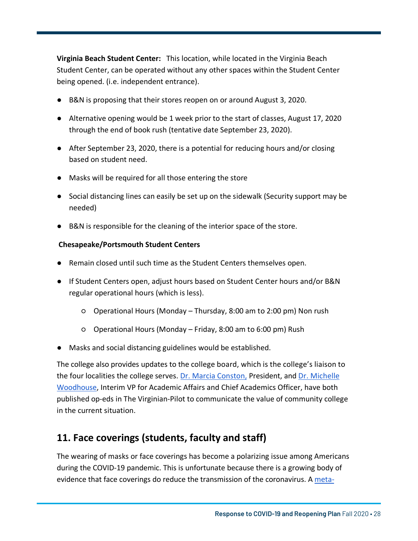**Virginia Beach Student Center:** This location, while located in the Virginia Beach Student Center, can be operated without any other spaces within the Student Center being opened. (i.e. independent entrance).

- B&N is proposing that their stores reopen on or around August 3, 2020.
- Alternative opening would be 1 week prior to the start of classes, August 17, 2020 through the end of book rush (tentative date September 23, 2020).
- After September 23, 2020, there is a potential for reducing hours and/or closing based on student need.
- Masks will be required for all those entering the store
- Social distancing lines can easily be set up on the sidewalk (Security support may be needed)
- B&N is responsible for the cleaning of the interior space of the store.

#### **Chesapeake/Portsmouth Student Centers**

- Remain closed until such time as the Student Centers themselves open.
- If Student Centers open, adjust hours based on Student Center hours and/or B&N regular operational hours (which is less).
	- Operational Hours (Monday Thursday, 8:00 am to 2:00 pm) Non rush
	- Operational Hours (Monday Friday, 8:00 am to 6:00 pm) Rush
- Masks and social distancing guidelines would be established.

The college also provides updates to the college board, which is the college's liaison to the four localities [the college serves.](https://www.pilotonline.com/opinion/columns/vp-ed-column-conston-0415-20200415-f5asffyedvbgbk5cunqwkviziy-story.html) Dr. Marcia [Conston,](https://www.pilotonline.com/opinion/columns/vp-ed-column-conston-0415-20200415-f5asffyedvbgbk5cunqwkviziy-story.html) President, and Dr. Michelle Woodhouse, Interim VP for Academic Affairs and Chief Academics Officer, have both published op-eds in The Virginian-Pilot to communicate the value of community college in the current situation.

### **11. Face coverings (students, faculty and staff)**

The wearing of masks or face coverings has become a polarizing issue among Americans during the COVID-19 pandemic. This is unfortunate because there is a growing body of evidence that face coverings do reduce the transmission of the coronavirus. A [meta-](https://www.thelancet.com/journals/lancet/article/PIIS0140-6736(20)31142-9/fulltext)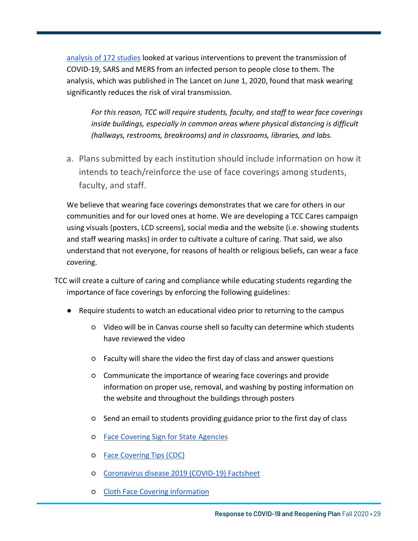analysis of [172 studies](https://www.thelancet.com/journals/lancet/article/PIIS0140-6736(20)31142-9/fulltext) looked at various interventions to prevent the transmission of COVID-19, SARS and MERS from an infected person to people close to them. The analysis, which was published in The Lancet on June 1, 2020, found that mask wearing significantly reduces the risk of viral transmission.

*For this reason, TCC will require students, faculty, and staff to wear face coverings inside buildings, especially in common areas where physical distancing is difficult (hallways, restrooms, breakrooms) and in classrooms, libraries, and labs.*

Page 29

a. Plans submitted by each institution should include information on how it intends to teach/reinforce the use of face coverings among students, faculty, and staff.

We believe that wearing face coverings demonstrates that we care for others in our communities and for our loved ones at home. We are developing a TCC Cares campaign using visuals (posters, LCD screens), social media and the website (i.e. showing students and staff wearing masks) in order to cultivate a culture of caring. That said, we also understand that not everyone, for reasons of health or religious beliefs, can wear a face covering.

TCC will create a culture of caring and compliance while educating students regarding the importance of face coverings by enforcing the following guidelines:

- Require students to watch an educational video prior to returning to the campus
	- Video will be in Canvas course shell so faculty can determine which students have reviewed the video
	- Faculty will share the video the first day of class and answer questions
	- Communicate the importance of wearing face coverings and provide information on proper use, removal, and washing by posting information on the website and throughout the buildings through posters
	- Send an email to students providing guidance prior to the first day of class
	- Face Covering Sign for State [Agencies](https://dgs.virginia.gov/globalassets/business-units/do/documents/face-coverings-notice_final-1.pdf)
	- [Face Covering Tips \(CDC\)](https://www.cdc.gov/coronavirus/2019-ncov/images/face-covering-checklist.jpg)
	- Coronavirus disease [2019 \(COVID-19\) Factsheet](https://www.cdc.gov/coronavirus/2019-ncov/downloads/2019-ncov-factsheet.pdf)
	- Cloth Face Covering [Information](https://www.cdc.gov/coronavirus/2019-ncov/prevent-getting-sick/about-face-coverings.html)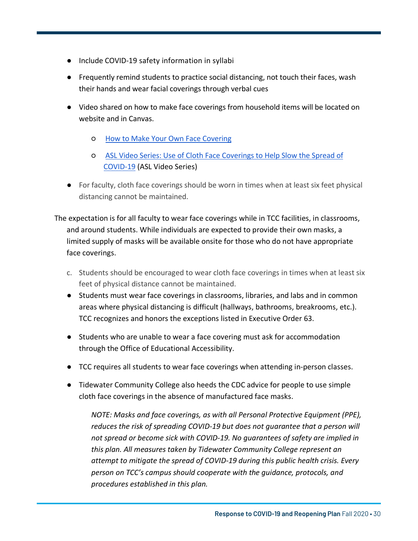- Include COVID-19 safety information in syllabi
- Frequently remind students to practice social distancing, not touch their faces, wash their hands and wear facial coverings through verbal cues

Page 30

- Video shared on how to make face coverings from household items will be located on website and in Canvas.
	- [How to Make Your Own Face Covering](https://www.youtube.com/watch?v=tPx1yqvJgf4"%20How%20to%20Make%20Your%20Own%20Face%20Covering)
	- [ASL Video Series: Use of Cloth Face Coverings to Help Slow the Spread of](https://www.youtube.com/watch?v=t9cnxxsEKpk&list=PLvrp9iOILTQatwnqm61jqFrsfUB4RKh6J&index=2&t=0s"ASL%20Video%20Series:%20Use%20of%20Cloth%20Face%20Coverings%20to%20Help%20Slow%20the%20Spread%20of%20COVID-19) COVID-19 (ASL Video Series)
- For faculty, cloth face coverings should be worn in times when at least six feet physical distancing cannot be maintained.

The expectation is for all faculty to wear face coverings while in TCC facilities, in classrooms, and around students. While individuals are expected to provide their own masks, a limited supply of masks will be available onsite for those who do not have appropriate face coverings.

- c. Students should be encouraged to wear cloth face coverings in times when at least six feet of physical distance cannot be maintained.
- Students must wear face coverings in classrooms, libraries, and labs and in common areas where physical distancing is difficult (hallways, bathrooms, breakrooms, etc.). TCC recognizes and honors the exceptions listed in Executive Order 63.
- Students who are unable to wear a face covering must ask for accommodation through the Office of Educational Accessibility.
- TCC requires all students to wear face coverings when attending in-person classes.
- Tidewater Community College also heeds the CDC advice for people to use simple cloth face coverings in the absence of manufactured face masks.

*NOTE: Masks and face coverings, as with all Personal Protective Equipment (PPE), reduces the risk of spreading COVID-19 but does not guarantee that a person will not spread or become sick with COVID-19. No guarantees of safety are implied in this plan. All measures taken by Tidewater Community College represent an attempt to mitigate the spread of COVID-19 during this public health crisis. Every person on TCC's campus should cooperate with the guidance, protocols, and procedures established in this plan.*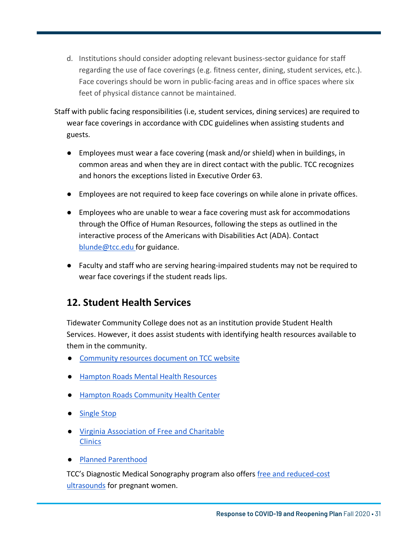d. Institutions should consider adopting relevant business-sector guidance for staff regarding the use of face coverings (e.g. fitness center, dining, student services, etc.). Face coverings should be worn in public-facing areas and in office spaces where six feet of physical distance cannot be maintained.

Page 31

- Staff with public facing responsibilities (i.e, student services, dining services) are required to wear face coverings in accordance with CDC guidelines when assisting students and guests.
	- Employees must wear a face covering (mask and/or shield) when in buildings, in common areas and when they are in direct contact with the public. TCC recognizes and honors the exceptions listed in Executive Order 63.
	- Employees are not required to keep face coverings on while alone in private offices.
	- Employees who are unable to wear a face covering must ask for accommodations through the Office of Human Resources, following the steps as outlined in the interactive process of the Americans with Disabilities Act (ADA). Contact blunde@tcc.edu for guidance.
	- Faculty and staff who are serving hearing-impaired students may not be required to wear face coverings if the student reads lips.

### **12. Student Health Services**

Tidewater Community College does not as an institution provide Student Health Services. However, it does assist students with identifying health resources available to them in the community.

- [Community](https://www.tcc.edu/about-tcc/safety-security/emergency-preparedness/covid-19-tccs-response-and-resources-for-faculty-staff-and-students/community-resources-during-covid-19/) resources document on TCC website
- Hampton Roads Mental [Health Resources](http://www.hampton.k12.va.us/community/keycommunicator/key/handoutsforkeycommunicatorlink/Hampton%20Roads%20Mental%20Health%20Resources.pdf)
- [Hampton Roads](https://www.hrchc.org) Community Health Center
- [Single](https://www.tcc.edu/service-support/single-stop/) Stop
- Virginia [Association](https://www.vafreeclinics.org) of Free and Charitable **Clinics**
- [Planned Parenthood](https://www.plannedparenthood.org/health-center)

TCC's Diagnostic Medical Sonography program also offers free [and reduced-cost](https://news.tcc.edu/free-3d-ultrasound-offers-rewarding-experience/) ultrasounds for pregnant women.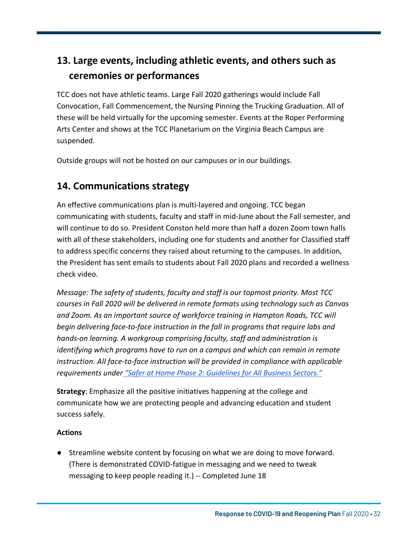### **13. Large events, including athletic events, and others such as ceremonies or performances**

TCC does not have athletic teams. Large Fall 2020 gatherings would include Fall Convocation, Fall Commencement, the Nursing Pinning the Trucking Graduation. All of these will be held virtually for the upcoming semester. Events at the Roper Performing Arts Center and shows at the TCC Planetarium on the Virginia Beach Campus are suspended.

Outside groups will not be hosted on our campuses or in our buildings.

### **14. Communications strategy**

An effective communications plan is multi-layered and ongoing. TCC began communicating with students, faculty and staff in mid-June about the Fall semester, and will continue to do so. President Conston held more than half a dozen Zoom town halls with all of these stakeholders, including one for students and another for Classified staff to address specific concerns they raised about returning to the campuses. In addition, the President has sent emails to students about Fall 2020 plans and recorded a wellness check video.

*Message: The safety of students, faculty and staff is our topmost priority. Most TCC courses in Fall 2020 will be delivered in remote formats using technology such as Canvas and Zoom. As an important source of workforce training in Hampton Roads, TCC will begin delivering face-to-face instruction in the fall in programs that require labs and hands-on learning. A workgroup comprising faculty, staff and administration is identifying which programs have to run on a campus and which can remain in remote instruction. All face-to-face instruction will be provided in compliance with applicable requirements under "Safer at Home [Phase 2: Guidelines for All Business Sectors."](https://www.governor.virginia.gov/media/governorvirginiagov/governor-of-virginia/pdf/Virginia-Forward-Phase-Two-Guidelines.pdf)*

**Strategy**: Emphasize all the positive initiatives happening at the college and communicate how we are protecting people and advancing education and student success safely.

#### **Actions**

● Streamline website content by focusing on what we are doing to move forward. (There is demonstrated COVID-fatigue in messaging and we need to tweak messaging to keep people reading it.) -- Completed June 18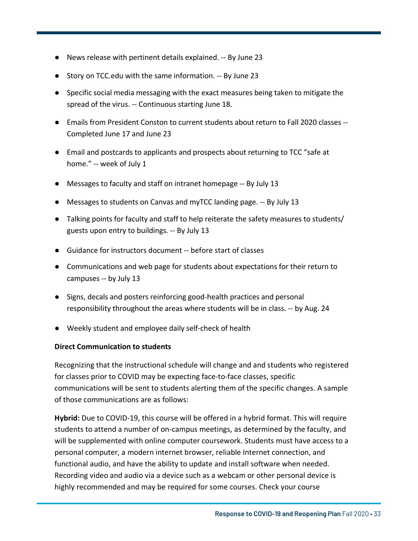- News release with pertinent details explained. -- By June 23
- Story on TCC.edu with the same information. -- By June 23
- Specific social media messaging with the exact measures being taken to mitigate the spread of the virus. -- Continuous starting June 18.
- Emails from President Conston to current students about return to Fall 2020 classes -- Completed June 17 and June 23
- Email and postcards to applicants and prospects about returning to TCC "safe at home." -- week of July 1
- Messages to faculty and staff on intranet homepage -- By July 13
- Messages to students on Canvas and myTCC landing page. -- By July 13
- Talking points for faculty and staff to help reiterate the safety measures to students/ guests upon entry to buildings. -- By July 13
- Guidance for instructors document -- before start of classes
- Communications and web page for students about expectations for their return to campuses -- by July 13
- Signs, decals and posters reinforcing good-health practices and personal responsibility throughout the areas where students will be in class. -- by Aug. 24
- Weekly student and employee daily self-check of health

#### **Direct Communication to students**

Recognizing that the instructional schedule will change and and students who registered for classes prior to COVID may be expecting face-to-face classes, specific communications will be sent to students alerting them of the specific changes. A sample of those communications are as follows:

**Hybrid:** Due to COVID-19, this course will be offered in a hybrid format. This will require students to attend a number of on-campus meetings, as determined by the faculty, and will be supplemented with online computer coursework. Students must have access to a personal computer, a modern internet browser, reliable Internet connection, and functional audio, and have the ability to update and install software when needed. Recording video and audio via a device such as a webcam or other personal device is highly recommended and may be required for some courses. Check your course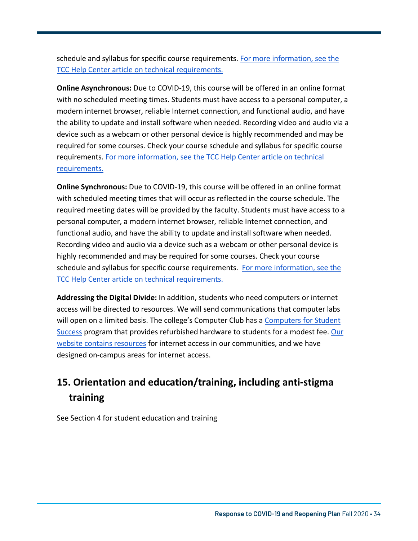schedule and syllabus for specific course requirements. For more information, see the [TCC Help Center article on technical requirements.](https://help.tcc.edu/s/article/What-hardware-and-software-do-I-need-to-take-an-online-class) 

**Online Asynchronous:** Due to COVID-19, this course will be offered in an online format with no scheduled meeting times. Students must have access to a personal computer, a modern internet browser, reliable Internet connection, and functional audio, and have the ability to update and install software when needed. Recording video and audio via a device such as a webcam or other personal device is highly recommended and may be required for some courses. Check your course schedule and syllabus for specific course requirements. [For more information, see the TCC Help Center article on technical](https://help.tcc.edu/s/article/What-hardware-and-software-do-I-need-to-take-an-online-class) requirements.

**Online Synchronous:** Due to COVID-19, this course will be offered in an online format with scheduled meeting times that will occur as reflected in the course schedule. The required meeting dates will be provided by the faculty. Students must have access to a personal computer, a modern internet browser, reliable Internet connection, and functional audio, and have the ability to update and install software when needed. Recording video and audio via a device such as a webcam or other personal device is highly recommended and may be required for some courses. Check your course schedule and syllabus for specific course requirements. For more information, see the [TCC Help Center article](https://help.tcc.edu/s/article/What-hardware-and-software-do-I-need-to-take-an-online-class) on technical requirements.

**Addressing the Digital Divide:** In addition, students who need computers or internet access will be directed to resources. We will send communications that computer labs will open on a limited basis. The college's Computer Club has a Computers for Student Success program that provides [refurbished hardware](http://www.computers4studentsuccess.org) to students for a modest fee. Our website contains resources for internet access in our communities, and we have designed on-campus areas for internet access.

### **15. Orientation and education/training, including anti-stigma training**

See Section 4 for student education and training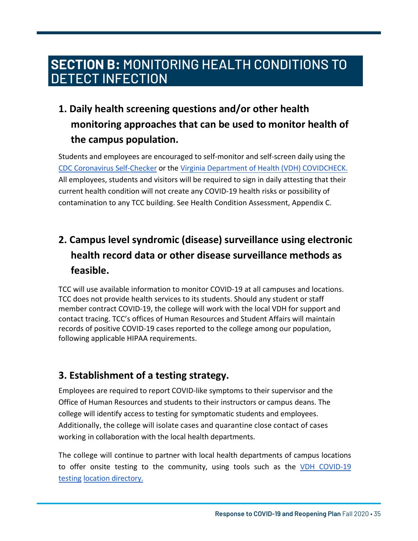## SECTION B: MONITORING HEALTH CONDITIONS TO  **SECTION B:** MONITORING HEALTH CONDITIONS TO DETECT INFECTION

### **1. Daily health screening questions and/or other health monitoring approaches that can be used to monitor health of the campus population.**

Students and employees are encouraged to self-monitor and self-screen daily using the CDC Coronavirus [Self-Checker](https://www.cdc.gov/coronavirus/2019-ncov/symptoms-testing/symptoms.html) or the Virginia Department of Health (VDH) [COVIDCHECK](https://www.vdh.virginia.gov/coronavirus/covidcheck/). All employees, students and visitors will be required to sign in daily attesting that their current health condition will not create any COVID-19 health risks or possibility of contamination to any TCC building. See Health Condition Assessment, Appendix C.

### **2. Campus level syndromic (disease) surveillance using electronic health record data or other disease surveillance methods as feasible.**

TCC will use available information to monitor COVID-19 at all campuses and locations. TCC does not provide health services to its students. Should any student or staff member contract COVID-19, the college will work with the local VDH for support and contact tracing. TCC's offices of Human Resources and Student Affairs will maintain records of positive COVID-19 cases reported to the college among our population, following applicable HIPAA requirements.

### **3. Establishment of a testing strategy.**

Employees are required to report COVID-like symptoms to their supervisor and the Office of Human Resources and students to their instructors or campus deans. The college will identify access to testing for symptomatic students and employees. Additionally, the college will isolate cases and quarantine close contact of cases working in collaboration with the local health departments.

The college will continue to partner with local health departments of campus locations to offer onsite testing to the community, using tools such as the VDH COVID-19 testing [location directory.](https://www.vdh.virginia.gov/coronavirus/covid-19-testing/covid-19-testing-sites/)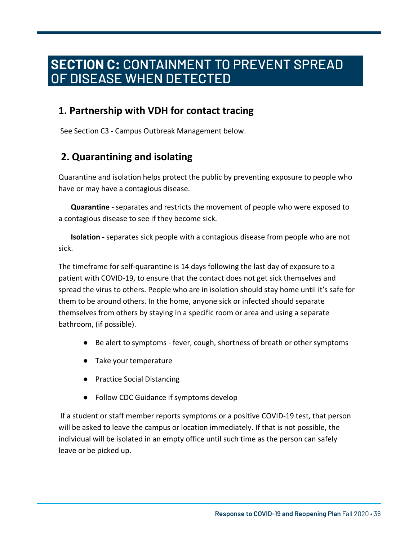#### **ECTION C: CONTAINMENT TO PREVENT SPREAD** DISEASE WHEN DETECTI  **SECTION C:** CONTAINMENT TO PREVENT SPREAD OF DISEASE WHEN DETECTED

### **1. Partnership with VDH for contact tracing**

See Section C3 - Campus Outbreak Management below.

### **2. Quarantining and isolating**

Quarantine and isolation helps protect the public by preventing exposure to people who have or may have a contagious disease.

**Quarantine -** separates and restricts the movement of people who were exposed to a contagious disease to see if they become sick.

**Isolation -** separates sick people with a contagious disease from people who are not sick.

The timeframe for self-quarantine is 14 days following the last day of exposure to a patient with COVID-19, to ensure that the contact does not get sick themselves and spread the virus to others. People who are in isolation should stay home until it's safe for them to be around others. In the home, anyone sick or infected should separate themselves from others by staying in a specific room or area and using a separate bathroom, (if possible).

- Be alert to symptoms fever, cough, shortness of breath or other symptoms
- Take your temperature
- Practice Social Distancing
- Follow CDC Guidance if symptoms develop

If a student or staff member reports symptoms or a positive COVID-19 test, that person will be asked to leave the campus or location immediately. If that is not possible, the individual will be isolated in an empty office until such time as the person can safely leave or be picked up.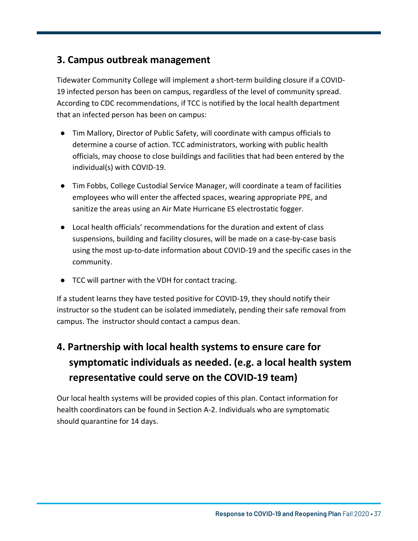### **3. Campus outbreak management**

Tidewater Community College will implement a short-term building closure if a COVID-19 infected person has been on campus, regardless of the level of community spread. According to CDC recommendations, if TCC is notified by the local health department that an infected person has been on campus:

- Tim Mallory, Director of Public Safety, will coordinate with campus officials to determine a course of action. TCC administrators, working with public health officials, may choose to close buildings and facilities that had been entered by the individual(s) with COVID-19.
- Tim Fobbs, College Custodial Service Manager, will coordinate a team of facilities employees who will enter the affected spaces, wearing appropriate PPE, and sanitize the areas using an Air Mate Hurricane ES electrostatic fogger.
- Local health officials' recommendations for the duration and extent of class suspensions, building and facility closures, will be made on a case-by-case basis using the most up-to-date information about COVID-19 and the specific cases in the community.
- TCC will partner with the VDH for contact tracing.

If a student learns they have tested positive for COVID-19, they should notify their instructor so the student can be isolated immediately, pending their safe removal from campus. The instructor should contact a campus dean.

### **4. Partnership with local health systems to ensure care for symptomatic individuals as needed. (e.g. a local health system representative could serve on the COVID-19 team)**

Our local health systems will be provided copies of this plan. Contact information for health coordinators can be found in Section A-2. Individuals who are symptomatic should quarantine for 14 days.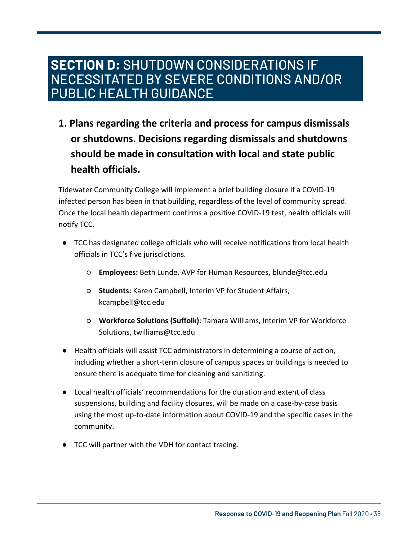### SECTION D: SHUTDOWN CONSIDERATIONS IF NECESSITATED BY SEVERE CONDITIONS AND/OR NECESSITATED BY SEVERE CONDITIONS AND/OR PUBLIC HEALTH GUIDANCE PUBLIC HEALTH GUIDANCE **SECTION D:** SHUTDOWN CONSIDERATIONS IF

**1. Plans regarding the criteria and process for campus dismissals or shutdowns. Decisions regarding dismissals and shutdowns should be made in consultation with local and state public health officials.**

Tidewater Community College will implement a brief building closure if a COVID-19 infected person has been in that building, regardless of the level of community spread. Once the local health department confirms a positive COVID-19 test, health officials will notify TCC.

- TCC has designated college officials who will receive notifications from local health officials in TCC's five jurisdictions.
	- **Employees:** Beth Lunde, AVP for Human Resources, blunde@tcc.edu
	- **Students:** Karen Campbell, Interim VP for Student Affairs, kcampbell@tcc.edu
	- **Workforce Solutions (Suffolk)**: Tamara Williams, Interim VP for Workforce Solutions, twilliams@tcc.edu
- Health officials will assist TCC administrators in determining a course of action, including whether a short-term closure of campus spaces or buildings is needed to ensure there is adequate time for cleaning and sanitizing.
- Local health officials' recommendations for the duration and extent of class suspensions, building and facility closures, will be made on a case-by-case basis using the most up-to-date information about COVID-19 and the specific cases in the community.
- TCC will partner with the VDH for contact tracing.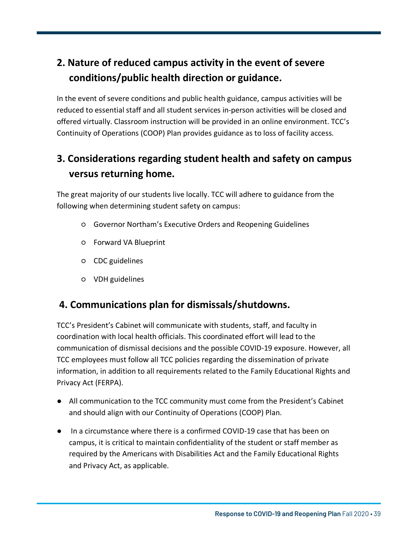### **2. Nature of reduced campus activity in the event of severe conditions/public health direction or guidance.**

In the event of severe conditions and public health guidance, campus activities will be reduced to essential staff and all student services in-person activities will be closed and offered virtually. Classroom instruction will be provided in an online environment. TCC's Continuity of Operations (COOP) Plan provides guidance as to loss of facility access.

### **3. Considerations regarding student health and safety on campus versus returning home.**

The great majority of our students live locally. TCC will adhere to guidance from the following when determining student safety on campus:

- Governor Northam's Executive Orders and Reopening Guidelines
- Forward VA Blueprint
- CDC guidelines
- VDH guidelines

### **4. Communications plan for dismissals/shutdowns.**

TCC's President's Cabinet will communicate with students, staff, and faculty in coordination with local health officials. This coordinated effort will lead to the communication of dismissal decisions and the possible COVID-19 exposure. However, all TCC employees must follow all TCC policies regarding the dissemination of private information, in addition to all requirements related to the Family Educational Rights and Privacy Act (FERPA).

- All communication to the TCC community must come from the President's Cabinet and should align with our Continuity of Operations (COOP) Plan.
- In a circumstance where there is a confirmed COVID-19 case that has been on campus, it is critical to maintain confidentiality of the student or staff member as required by the Americans with Disabilities Act and the Family Educational Rights and Privacy Act, as applicable.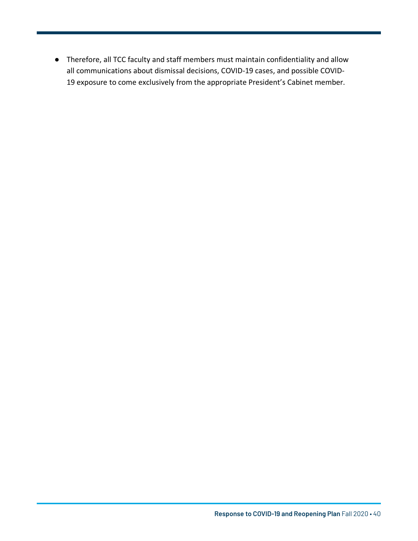● Therefore, all TCC faculty and staff members must maintain confidentiality and allow all communications about dismissal decisions, COVID-19 cases, and possible COVID-19 exposure to come exclusively from the appropriate President's Cabinet member.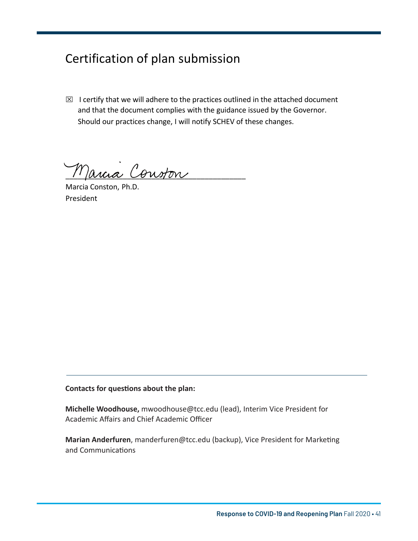### Certification of plan submission

 $\boxtimes$  I certify that we will adhere to the practices outlined in the attached document and that the document complies with the guidance issued by the Governor. Should our practices change, I will notify SCHEV of these changes.

 $M$ ancia Conston

Marcia Conston, Ph.D. President

**Contacts for questions about the plan:**

**Michelle Woodhouse,** mwoodhouse@tcc.edu (lead), Interim Vice President for Academic Affairs and Chief Academic Officer

**Marian Anderfuren**, manderfuren@tcc.edu (backup), Vice President for Marketing and Communications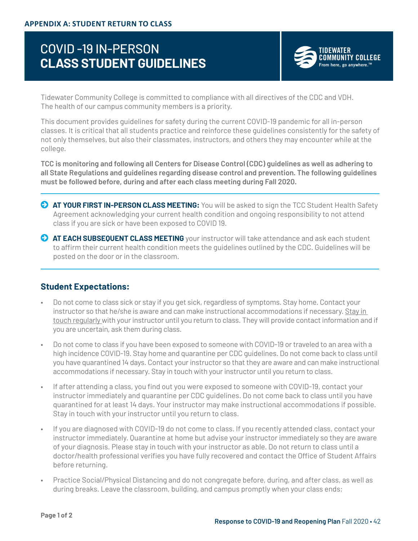### COVID -19 IN-PERSON **CLASS STUDENT GUIDELINES**



Tidewater Community College is committed to compliance with all directives of the CDC and VDH. The health of our campus community members is a priority.

This document provides guidelines for safety during the current COVID-19 pandemic for all in-person classes. It is critical that all students practice and reinforce these guidelines consistently for the safety of not only themselves, but also their classmates, instructors, and others they may encounter while at the college.

**TCC is monitoring and following all Centers for Disease Control (CDC) guidelines as well as adhering to all State Regulations and guidelines regarding disease control and prevention. The following guidelines must be followed before, during and after each class meeting during Fall 2020.**

- **AT YOUR FIRST IN-PERSON CLASS MEETING:** You will be asked to sign the TCC Student Health Safety Agreement acknowledging your current health condition and ongoing responsibility to not attend class if you are sick or have been exposed to COVID 19.
- **AT EACH SUBSEQUENT CLASS MEETING** your instructor will take attendance and ask each student to affirm their current health condition meets the guidelines outlined by the CDC. Guidelines will be posted on the door or in the classroom.

#### **Student Expectations:**

- Do not come to class sick or stay if you get sick, regardless of symptoms. Stay home. Contact your instructor so that he/she is aware and can make instructional accommodations if necessary. Stay in touch regularly with your instructor until you return to class. They will provide contact information and if you are uncertain, ask them during class.
- Do not come to class if you have been exposed to someone with COVID-19 or traveled to an area with a high incidence COVID-19. Stay home and quarantine per CDC guidelines. Do not come back to class until you have quarantined 14 days. Contact your instructor so that they are aware and can make instructional accommodations if necessary. Stay in touch with your instructor until you return to class.
- If after attending a class, you find out you were exposed to someone with COVID-19, contact your instructor immediately and quarantine per CDC guidelines. Do not come back to class until you have quarantined for at least 14 days. Your instructor may make instructional accommodations if possible. Stay in touch with your instructor until you return to class.
- If you are diagnosed with COVID-19 do not come to class. If you recently attended class, contact your instructor immediately. Quarantine at home but advise your instructor immediately so they are aware of your diagnosis. Please stay in touch with your instructor as able. Do not return to class until a doctor/health professional verifies you have fully recovered and contact the Office of Student Affairs before returning.
- Practice Social/Physical Distancing and do not congregate before, during, and after class, as well as during breaks. Leave the classroom, building, and campus promptly when your class ends;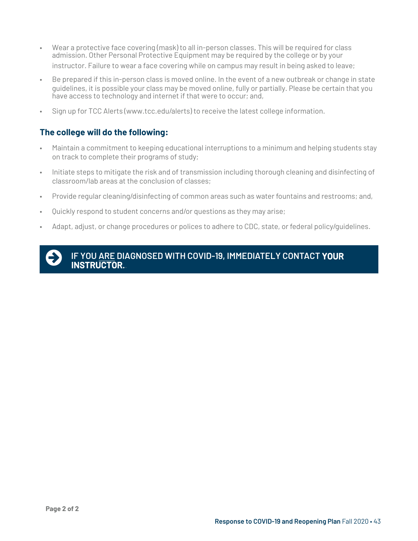- Wear a protective face covering (mask) to all in-person classes. This will be required for class admission. Other Personal Protective Equipment may be required by the college or by your instructor. Failure to wear a face covering while on campus may result in being asked to leave;
- Be prepared if this in-person class is moved online. In the event of a new outbreak or change in state guidelines, it is possible your class may be moved online, fully or partially. Please be certain that you have access to technology and internet if that were to occur; and,
- Sign up for TCC Alerts (www.tcc.edu/alerts) to receive the latest college information.

#### **The college will do the following:**

- Maintain a commitment to keeping educational interruptions to a minimum and helping students stay on track to complete their programs of study;
- Initiate steps to mitigate the risk and of transmission including thorough cleaning and disinfecting of classroom/lab areas at the conclusion of classes;
- Provide regular cleaning/disinfecting of common areas such as water fountains and restrooms; and,
- Quickly respond to student concerns and/or questions as they may arise;
- Adapt, adjust, or change procedures or polices to adhere to CDC, state, or federal policy/guidelines.



**IF YOU ARE DIAGNOSED WITH COVID-19, IMMEDIATELY CONTACT YOUR INSTRUCTOR.**.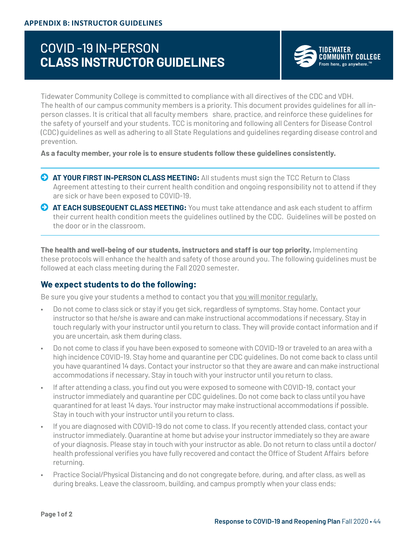### COVID -19 IN-PERSON **CLASS INSTRUCTOR GUIDELINES**



Tidewater Community College is committed to compliance with all directives of the CDC and VDH. The health of our campus community members is a priority. This document provides guidelines for all inperson classes. It is critical that all faculty members share, practice, and reinforce these guidelines for the safety of yourself and your students. TCC is monitoring and following all Centers for Disease Control (CDC) guidelines as well as adhering to all State Regulations and guidelines regarding disease control and prevention.

**As a faculty member, your role is to ensure students follow these guidelines consistently.**

- **AT YOUR FIRST IN-PERSON CLASS MEETING:** All students must sign the TCC Return to Class Agreement attesting to their current health condition and ongoing responsibility not to attend if they are sick or have been exposed to COVID-19.
- **AT EACH SUBSEQUENT CLASS MEETING:** You must take attendance and ask each student to affirm their current health condition meets the guidelines outlined by the CDC. Guidelines will be posted on the door or in the classroom.

**The health and well-being of our students, instructors and staff is our top priority.** Implementing these protocols will enhance the health and safety of those around you. The following guidelines must be followed at each class meeting during the Fall 2020 semester.

#### **We expect students to do the following:**

Be sure you give your students a method to contact you that you will monitor regularly.

- Do not come to class sick or stay if you get sick, regardless of symptoms. Stay home. Contact your instructor so that he/she is aware and can make instructional accommodations if necessary. Stay in touch regularly with your instructor until you return to class. They will provide contact information and if you are uncertain, ask them during class.
- Do not come to class if you have been exposed to someone with COVID-19 or traveled to an area with a high incidence COVID-19. Stay home and quarantine per CDC guidelines. Do not come back to class until you have quarantined 14 days. Contact your instructor so that they are aware and can make instructional accommodations if necessary. Stay in touch with your instructor until you return to class.
- If after attending a class, you find out you were exposed to someone with COVID-19, contact your instructor immediately and quarantine per CDC guidelines. Do not come back to class until you have quarantined for at least 14 days. Your instructor may make instructional accommodations if possible. Stay in touch with your instructor until you return to class.
- If you are diagnosed with COVID-19 do not come to class. If you recently attended class, contact your instructor immediately. Quarantine at home but advise your instructor immediately so they are aware of your diagnosis. Please stay in touch with your instructor as able. Do not return to class until a doctor/ health professional verifies you have fully recovered and contact the Office of Student Affairs before returning.
- Practice Social/Physical Distancing and do not congregate before, during, and after class, as well as during breaks. Leave the classroom, building, and campus promptly when your class ends;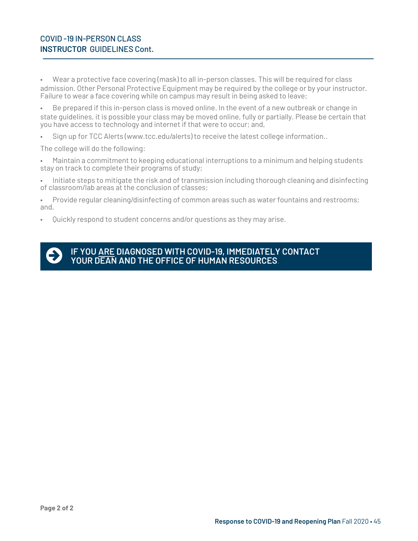#### COVID -19 IN-PERSON CLASS **INSTRUCTOR** GUIDELINES Cont.

• Wear a protective face covering (mask) to all in-person classes. This will be required for class admission. Other Personal Protective Equipment may be required by the college or by your instructor. Failure to wear a face covering while on campus may result in being asked to leave;

• Be prepared if this in-person class is moved online. In the event of a new outbreak or change in state guidelines, it is possible your class may be moved online, fully or partially. Please be certain that you have access to technology and internet if that were to occur; and,

• Sign up for TCC Alerts (www.tcc.edu/alerts) to receive the latest college information..

The college will do the following:

• Maintain a commitment to keeping educational interruptions to a minimum and helping students stay on track to complete their programs of study;

• Initiate steps to mitigate the risk and of transmission including thorough cleaning and disinfecting of classroom/lab areas at the conclusion of classes;

• Provide regular cleaning/disinfecting of common areas such as water fountains and restrooms; and,

• Quickly respond to student concerns and/or questions as they may arise.



**IF YOU ARE DIAGNOSED WITH COVID-19, IMMEDIATELY CONTACT YOUR DEAN AND THE OFFICE OF HUMAN RESOURCES**.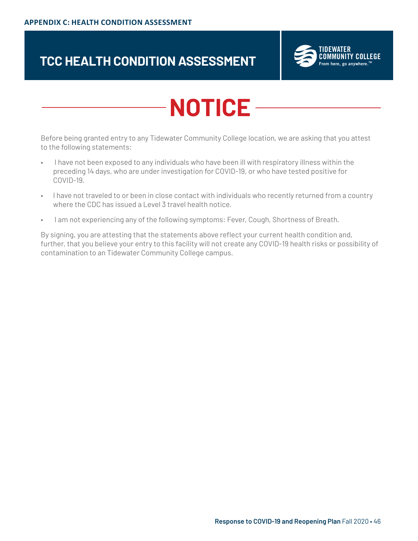## **TCC HEALTH CONDITION ASSESSMENT**



# **NOTICE**

Before being granted entry to any Tidewater Community College location, we are asking that you attest to the following statements:

- I have not been exposed to any individuals who have been ill with respiratory illness within the preceding 14 days, who are under investigation for COVID-19, or who have tested positive for COVID-19.
- I have not traveled to or been in close contact with individuals who recently returned from a country where the CDC has issued a Level 3 travel health notice.
- I am not experiencing any of the following symptoms: Fever, Cough, Shortness of Breath.

By signing, you are attesting that the statements above reflect your current health condition and, further, that you believe your entry to this facility will not create any COVID-19 health risks or possibility of contamination to an Tidewater Community College campus.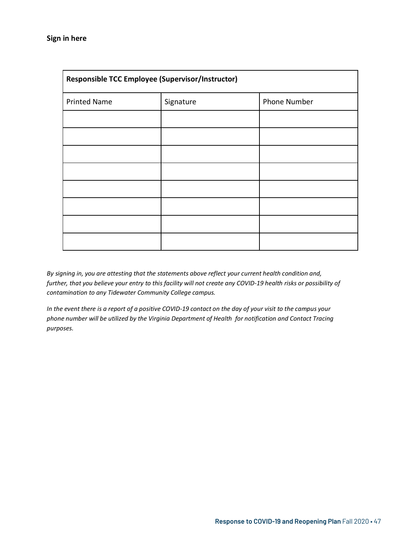| Responsible TCC Employee (Supervisor/Instructor) |           |              |  |  |  |
|--------------------------------------------------|-----------|--------------|--|--|--|
| <b>Printed Name</b>                              | Signature | Phone Number |  |  |  |
|                                                  |           |              |  |  |  |
|                                                  |           |              |  |  |  |
|                                                  |           |              |  |  |  |
|                                                  |           |              |  |  |  |
|                                                  |           |              |  |  |  |
|                                                  |           |              |  |  |  |
|                                                  |           |              |  |  |  |
|                                                  |           |              |  |  |  |

*By signing in, you are attesting that the statements above reflect your current health condition and, further, that you believe your entry to this facility will not create any COVID-19 health risks or possibility of contamination to any Tidewater Community College campus.* 

*In the event there is a report of a positive COVID-19 contact on the day of your visit to the campus your phone number will be utilized by the Virginia Department of Health for notification and Contact Tracing purposes.*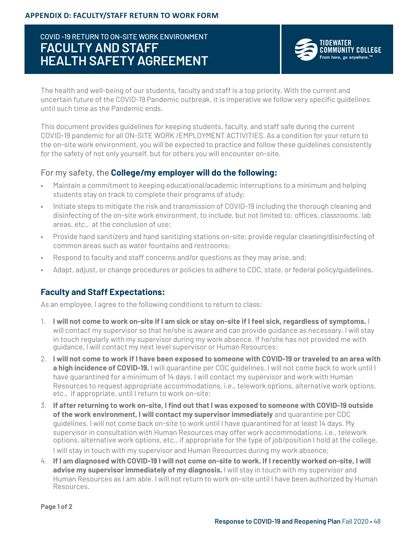### COVID -19 RETURN TO ON-SITE WORK ENVIRONMENT **FACULTY AND STAFF HEALTH SAFETY AGREEMENT**



The health and well-being of our students, faculty and staff is a top priority. With the current and uncertain future of the COVID-19 Pandemic outbreak, it is imperative we follow very specific guidelines until such time as the Pandemic ends.

This document provides guidelines for keeping students, faculty, and staff safe during the current COVID-19 pandemic for all ON-SITE WORK /EMPLOYMENT ACTIVITIES. As a condition for your return to the on-site work environment, you will be expected to practice and follow these guidelines consistently for the safety of not only yourself, but for others you will encounter on-site.

#### For my safety, the **College/my employer will do the following:**

- Maintain a commitment to keeping educational/academic interruptions to a minimum and helping students stay on track to complete their programs of study;
- Initiate steps to mitigate the risk and transmission of COVID-19 including the thorough cleaning and disinfecting of the on-site work environment, to include, but not limited to: offices, classrooms, lab areas, etc., at the conclusion of use;
- Provide hand sanitizers and hand sanitizing stations on-site; provide regular cleaning/disinfecting of common areas such as water fountains and restrooms;
- Respond to faculty and staff concerns and/or questions as they may arise, and;
- Adapt, adjust, or change procedures or policies to adhere to CDC, state, or federal policy/guidelines.

#### **Faculty and Staff Expectations:**

As an employee, I agree to the following conditions to return to class:

- 1. **I will not come to work on-site if I am sick or stay on-site if I feel sick, regardless of symptoms.** I will contact my supervisor so that he/she is aware and can provide guidance as necessary. I will stay in touch regularly with my supervisor during my work absence. If he/she has not provided me with guidance, I will contact my next level supervisor or Human Resources;
- 2. **I will not come to work if I have been exposed to someone with COVID-19 or traveled to an area with a high incidence of COVID-19.** I will quarantine per CDC guidelines. I will not come back to work until I have quarantined for a minimum of 14 days. I will contact my supervisor and work with Human Resources to request appropriate accommodations, i.e., telework options, alternative work options, etc., if appropriate, until I return to work on-site;
- 3. **If after returning to work on-site, I find out that I was exposed to someone with COVID-19 outside of the work environment, I will contact my supervisor immediately** and quarantine per CDC guidelines. I will not come back on-site to work until I have quarantined for at least 14 days. My supervisor in consultation with Human Resources may offer work accommodations, i.e., telework options, alternative work options, etc., if appropriate for the type of job/position I hold at the college. I will stay in touch with my supervisor and Human Resources during my work absence;
- 4. **If I am diagnosed with COVID-19 I will not come on-site to work. If I recently worked on-site, I will advise my supervisor immediately of my diagnosis.** I will stay in touch with my supervisor and Human Resources as I am able. I will not return to work on-site until I have been authorized by Human Resources.